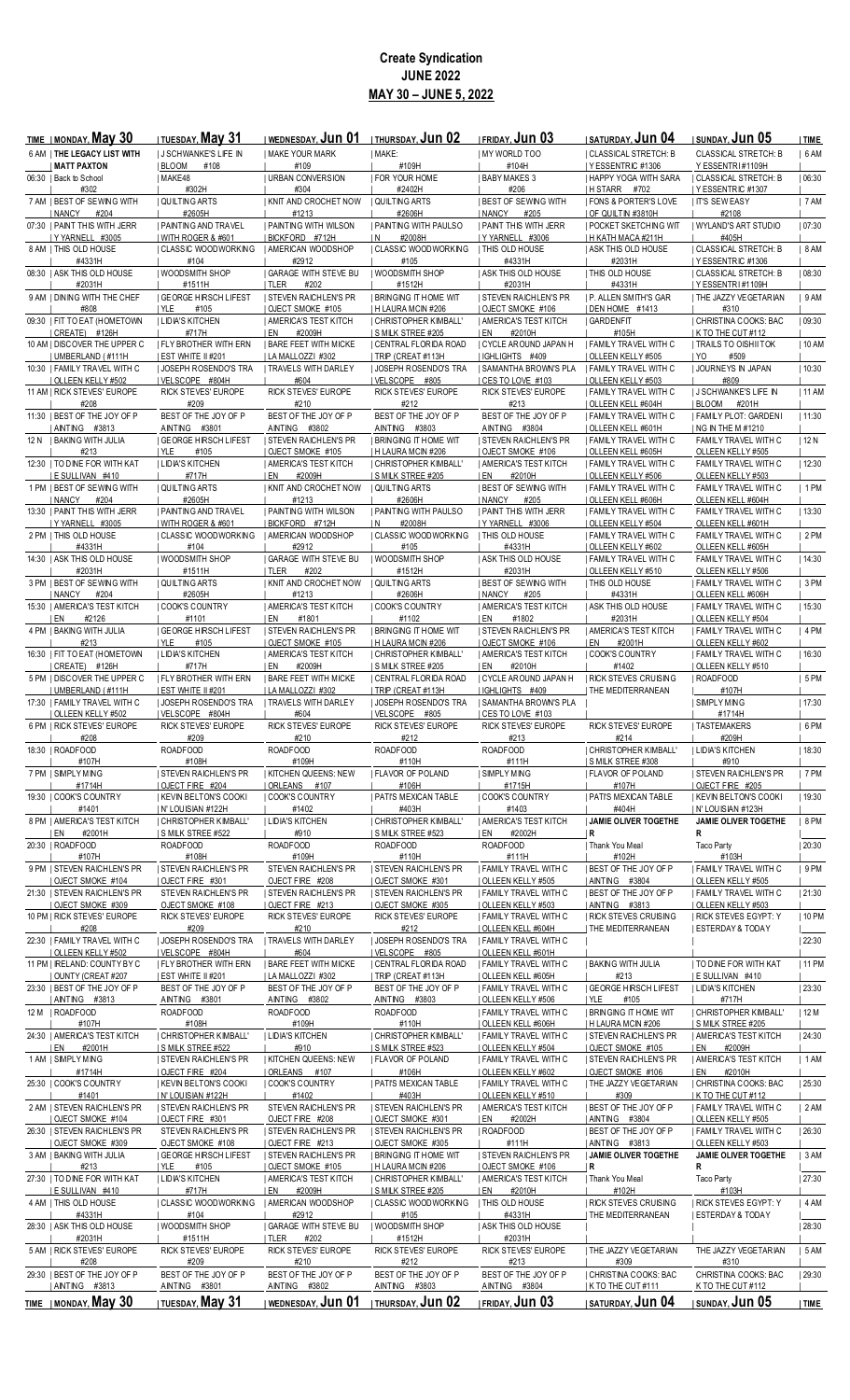## **Create Syndication JUNE 2022 MAY 30 – JUNE 5, 2022**

| <b>TIME   MONDAY, May 30</b>                       | <b>I TUESDAY, May 31</b>                       | I WEDNESDAY, Jun 01                               | I THURSDAY, JUN 02                          | <b>IFRIDAY, Jun 03</b>                                      | <b>I SATURDAY, JUN 04</b>                            | I SUNDAY, <b>Jun 05</b>                              | TIME    |
|----------------------------------------------------|------------------------------------------------|---------------------------------------------------|---------------------------------------------|-------------------------------------------------------------|------------------------------------------------------|------------------------------------------------------|---------|
| 6 AM I THE LEGACY LIST WITH                        | I J SCHWANKE'S LIFE IN                         | <b>I MAKE YOUR MARK</b>                           | MAKE:                                       | MY WORLD TOO                                                | <b>  CLASSICAL STRETCH: B</b>                        | <b>CLASSICAL STRETCH: B</b>                          | 6AM     |
| <b>MATT PAXTON</b><br>06:30   Back to School       | BLOOM<br>#108<br>  MAKE48                      | #109<br><b>I URBAN CONVERSION</b>                 | #109H<br><b>FOR YOUR HOME</b>               | #104H<br><b>BABY MAKES 3</b>                                | I YESSENTRIC #1306<br><b>I HAPPY YOGA WITH SARA</b>  | Y ESSENTRI#1109H<br><b>I CLASSICAL STRETCH: B</b>    | 06:30   |
| #302                                               | #302H                                          | #304                                              | #2402H                                      | #206                                                        | IHSTARR #702                                         | YESSENTRIC #1307                                     |         |
| 7 AM   BEST OF SEWING WITH                         | QUILTING ARTS                                  | KNIT AND CROCHET NOW                              | QUILTING ARTS                               | <b>BEST OF SEWING WITH</b>                                  | <b>FONS &amp; PORTER'S LOVE</b>                      | <b>IT'S SEWEASY</b>                                  | 7AM     |
| NANCY<br>#204<br>07:30   PAINT THIS WITH JERR      | #2605H<br><b>I PAINTING AND TRAVEL</b>         | #1213<br><b>I PAINTING WITH WILSON</b>            | #2606H<br>I PAINTING WITH PAULSO            | NANCY<br>#205<br><b>I PAINT THIS WITH JERR</b>              | OF QUILTIN #3810H<br><b>I POCKET SKETCHING WIT</b>   | #2108<br>I WYLAND'S ART STUDIO                       |         |
| Y YARNELL #3005                                    | WITH ROGER & #601                              | BICKFORD #712H                                    | #2008H<br>IN.                               | YYARNELL #3006                                              | H KATH MACA #211H                                    | #405H                                                | 07:30   |
| 8 AM   THIS OLD HOUSE                              | CLASSIC WOODWORKING                            | AMERICAN WOODSHOP                                 | <b>CLASSIC WOODWORKING</b>                  | <b>THIS OLD HOUSE</b>                                       | <b>ASK THIS OLD HOUSE</b>                            | CLASSICAL STRETCH: B                                 | 8 AM    |
| #4331H                                             | #104<br>I WOODSMITH SHOP                       | #2912<br><b>I GARAGE WITH STEVE BU</b>            | #105<br><b>WOODSMITH SHOP</b>               | #4331H                                                      | #2031H<br><b>I THIS OLD HOUSE</b>                    | I YESSENTRIC #1306                                   |         |
| 08:30   ASK THIS OLD HOUSE<br>#2031H               | #1511H                                         | I TLER<br>#202                                    | #1512H                                      | <b>ASK THIS OLD HOUSE</b><br>#2031H                         | #4331H                                               | CLASSICAL STRETCH: B<br> YESSENTRI#1109H             | 08:30   |
| 9 AM   DINING WITH THE CHEF                        | <b>GEORGE HIRSCH LIFEST</b>                    | <b>I STEVEN RAICHLEN'S PR</b>                     | <b>BRINGING IT HOME WIT</b>                 | <b>I STEVEN RAICHLEN'S PR</b>                               | <b>I P. ALLEN SMITH'S GAR</b>                        | I THE JAZZY VEGETARIAN                               | 9AM     |
| #808                                               | #105<br>I YLE                                  | OJECT SMOKE #105                                  | H LAURA MCIN #206                           | OJECT SMOKE #106                                            | DEN HOME #1413                                       | #310                                                 |         |
| 09:30   FIT TO EAT (HOMETOWN<br>CREATE) #126H      | <b>I LIDIA'S KITCHEN</b><br>#717H              | <b>I AMERICA'S TEST KITCH</b><br>#2009H<br>I EN   | CHRISTOPHER KIMBALL'<br>S MILK STREE #205   | <b>I AMERICA'S TEST KITCH</b><br>#2010H<br>I EN             | GARDENFIT<br>#105H                                   | CHRISTINA COOKS: BAC<br>I K TO THE CUT #112          | 09:30   |
| 10 AM   DISCOVER THE UPPER C                       | <b>I FLY BROTHER WITH ERN</b>                  | <b>I BARE FEET WITH MICKE</b>                     | CENTRAL FLORIDA ROAD                        | CYCLE AROUND JAPAN H                                        | I FAMILY TRAVEL WITH C                               | <b>  TRAILS TO OISHII TOK</b>                        | 10 AM   |
| UMBERLAND (#111H                                   | EST WHITE II #201                              | LA MALLOZZI #302                                  | TRIP (CREAT #113H                           | IGHLIGHTS #409                                              | OLLEEN KELLY #505                                    | #509<br>IYO                                          |         |
| 10:30   FAMILY TRAVEL WITH C<br>OLLEEN KELLY #502  | JOSEPH ROSENDO'S TRA<br>VELSCOPE #804H         | TRAVELS WITH DARLEY<br>#604                       | JOSEPH ROSENDO'S TRA<br>VELSCOPE #805       | SAMANTHA BROWN'S PLA<br>CES TO LOVE #103                    | <b>FAMILY TRAVEL WITH C</b><br>  OLLEEN KELLY #503   | JOURNEYS IN JAPAN<br>#809                            | 10:30   |
| 11 AM   RICK STEVES' EUROPE                        | RICK STEVES' EUROPE                            | RICK STEVES' EUROPE                               | RICK STEVES' EUROPE                         | RICK STEVES' EUROPE                                         | <b>I FAMILY TRAVEL WITH C</b>                        | I J SCHWANKE'S LIFE IN                               | 11 AM   |
| #208<br>11:30   BEST OF THE JOY OF P               | #209                                           | #210<br>BEST OF THE JOY OF P                      | #212<br>BEST OF THE JOY OF P                | #213<br>BEST OF THE JOY OF P                                | OLLEEN KELL #604H                                    | <b>IBLOOM</b><br>#201H<br>  FAMILY PLOT: GARDENI     | 11:30   |
| AINTING #3813                                      | BEST OF THE JOY OF P<br>AINTING<br>#3801       | AINTING #3802                                     | AINTING #3803                               | AINTING #3804                                               | <b>  FAMILY TRAVEL WITH C</b><br>  OLLEEN KELL #601H | NG IN THE M #1210                                    |         |
| 12 N I BAKING WITH JULIA                           | <b>GEORGE HIRSCH LIFEST</b>                    | <b>I STEVEN RAICHLEN'S PR</b>                     | <b>BRINGING IT HOME WIT</b>                 | <b>I STEVEN RAICHLEN'S PR</b>                               | <b>I FAMILY TRAVEL WITH C</b>                        | FAMILY TRAVEL WITH C                                 | 12 N    |
| #213<br>12:30   TO DINE FOR WITH KAT               | I YLE<br>#105<br><b>I LIDIA'S KITCHEN</b>      | OJECT SMOKE #105<br><b>I AMERICA'S TEST KITCH</b> | H LAURA MCIN #206<br>I CHRISTOPHER KIMBALL' | OJECT SMOKE #106<br>  AMERICA'S TEST KITCH                  | OLLEEN KELL #605H<br>I FAMILY TRAVEL WITH C          | OLLEEN KELLY #505<br>FAMILY TRAVEL WITH C            | 12:30   |
| E SULLIVAN #410                                    | #717H                                          | #2009H<br>I EN                                    | <b>SMILK STREE #205</b>                     | #2010H<br>i en                                              | OLLEEN KELLY #506                                    | OLLEEN KELLY #503                                    |         |
| 1 PM   BEST OF SEWING WITH                         | <b>QUILTING ARTS</b>                           | I KNIT AND CROCHET NOW                            | I QUILTING ARTS                             | <b>I BEST OF SEWING WITH</b>                                | <b>  FAMILY TRAVEL WITH C</b>                        | FAMILY TRAVEL WITH C                                 | $ 1$ PM |
| NANCY #204<br>13:30 I PAINT THIS WITH JERR         | #2605H<br><b>I PAINTING AND TRAVEL</b>         | #1213<br><b>I PAINTING WITH WILSON</b>            | #2606H<br><b>I PAINTING WITH PAULSO</b>     | NANCY<br>#205<br><b>I PAINT THIS WITH JERR</b>              | OLLEEN KELL #606H<br>I FAMILY TRAVEL WITH C          | OLLEEN KELL #604H<br>FAMILY TRAVEL WITH C            | 13:30   |
| YYARNELL #3005                                     | WITH ROGER & #601                              | BICKFORD #712H                                    | #2008H<br>I N                               | Y YARNELL #3006                                             | OLLEEN KELLY #504                                    | OLLEEN KELL #601H                                    |         |
| 2 PM   THIS OLD HOUSE                              | CLASSIC WOODWORKING                            | AMERICAN WOODSHOP                                 | CLASSIC WOODWORKING                         | <b>I THIS OLD HOUSE</b>                                     | <b>  FAMILY TRAVEL WITH C</b>                        | FAMILY TRAVEL WITH C                                 | 2 PM    |
| #4331H<br>14:30   ASK THIS OLD HOUSE               | #104<br>  WOODSMITH SHOP                       | #2912<br><b>GARAGE WITH STEVE BU</b>              | #105<br>I WOODSMITH SHOP                    | #4331H<br><b>I ASK THIS OLD HOUSE</b>                       | OLLEEN KELLY #602<br>I FAMILY TRAVEL WITH C          | OLLEEN KELL #605H<br>FAMILY TRAVEL WITH C            | 14:30   |
| #2031H                                             | #1511H                                         | TLER<br>#202                                      | #1512H                                      | #2031H                                                      | OLLEEN KELLY #510                                    | OLLEEN KELLY #506                                    |         |
| 3 PM   BEST OF SEWING WITH                         | QUILTING ARTS                                  | KNIT AND CROCHET NOW                              | QUILTING ARTS                               | <b>I BEST OF SEWING WITH</b>                                | <b>THIS OLD HOUSE</b>                                | <b>  FAMILY TRAVEL WITH C</b>                        | 3PM     |
| NANCY<br>#204<br>15:30   AMERICA'S TEST KITCH      | #2605H<br><b>COOK'S COUNTRY</b>                | #1213<br><b>AMERICA'S TEST KITCH</b>              | #2606H<br>COOK'S COUNTRY                    | NANCY<br>#205<br>  AMERICA'S TEST KITCH                     | #4331H<br><b>ASK THIS OLD HOUSE</b>                  | OLLEEN KELL #606H<br><b>  FAMILY TRAVEL WITH C</b>   | 15:30   |
| #2126<br>I EN                                      | #1101                                          | #1801<br>I EN                                     | #1102                                       | I EN<br>#1802                                               | #2031H                                               | OLLEEN KELLY #504                                    |         |
| 4 PM   BAKING WITH JULIA                           | GEORGE HIRSCH LIFEST                           | <b>I STEVEN RAICHLEN'S PR</b>                     | <b>BRINGING IT HOME WIT</b>                 | <b>STEVEN RAICHLEN'S PR</b>                                 | AMERICA'S TEST KITCH                                 | <b>I FAMILY TRAVEL WITH C</b>                        | 4 PM    |
| #213<br>16:30   FIT TO EAT (HOMETOWN               | YLE<br>#105<br><b>I LIDIA'S KITCHEN</b>        | OJECT SMOKE #105<br>  AMERICA'S TEST KITCH        | H LAURA MCIN #206<br>  CHRISTOPHER KIMBALL' | OJECT SMOKE #106<br>  AMERICA'S TEST KITCH                  | #2001H<br>I EN<br>  COOK'S COUNTRY                   | OLLEEN KELLY #602<br><b>  FAMILY TRAVEL WITH C</b>   | 16:30   |
| CREATE) #126H                                      | #717H                                          | #2009H<br>I EN                                    | S MILK STREE #205                           | #2010H<br>I EN                                              | #1402                                                | OLLEEN KELLY #510                                    |         |
| 5 PM   DISCOVER THE UPPER C                        | <b>I FLY BROTHER WITH ERN</b>                  | <b>I BARE FEET WITH MICKE</b>                     | CENTRAL FLORIDA ROAD                        | I CYCLE AROUND JAPAN H                                      | <b>I RICK STEVES CRUISING</b>                        | ROADFOOD                                             | 5PM     |
| I UMBERLAND (#111H<br>17:30   FAMILY TRAVEL WITH C | EST WHITE II #201<br>  JOSEPH ROSENDO'S TRA    | LA MALLOZZI #302<br><b>I TRAVELS WITH DARLEY</b>  | TRIP (CREAT #113H<br>  JOSEPH ROSENDO'S TRA | IGHLIGHTS #409<br>  SAMANTHA BROWN'S PLA                    | <b>I THE MEDITERRANEAN</b>                           | #107H<br>  SIMPLY MING                               | 17:30   |
| OLLEEN KELLY #502                                  | I VELSCOPE #804H                               | #604                                              | VELSCOPE #805                               | CES TO LOVE #103                                            |                                                      | #1714H                                               |         |
| 6 PM   RICK STEVES' EUROPE<br>#208                 | RICK STEVES' EUROPE<br>#209                    | RICK STEVES' EUROPE<br>#210                       | RICK STEVES' EUROPE<br>#212                 | RICK STEVES' EUROPE<br>#213                                 | RICK STEVES' EUROPE<br>#214                          | <b>I TASTEMAKERS</b><br>#209H                        | 6 PM    |
| 18:30   ROADFOOD                                   | ROADFOOD                                       | ROADFOOD                                          | ROADFOOD                                    | ROADFOOD                                                    | CHRISTOPHER KIMBALL'                                 | <b>I LIDIA'S KITCHEN</b>                             | 18:30   |
| #107H                                              | #108H                                          | #109H                                             | #110H                                       | #111H                                                       | <b>SMILK STREE #308</b>                              | #910                                                 |         |
| 7 PM   SIMPLY MING<br>#1714H                       | <b>STEVEN RAICHLEN'S PR</b><br>OJECT FIRE #204 | <b>KITCHEN QUEENS: NEW</b><br>  ORLEANS<br>#107   | FLAVOR OF POLAND<br>#106H                   | SIMPLY MING<br>#1715H                                       | <b>  FLAVOR OF POLAND</b><br>#107H                   | <b>STEVEN RAICHLEN'S PR</b><br>  OJECT FIRE #205     | 7 PM    |
| 19:30   COOK'S COUNTRY                             | KEVIN BELTON'S COOKI                           | COOK'S COUNTRY                                    | PATI'S MEXICAN TABLE                        | COOK'S COUNTRY                                              | PATI'S MEXICAN TABLE                                 | KEVIN BELTON'S COOKI                                 | 19:30   |
| #1401<br>8 PM   AMERICA'S TEST KITCH               | N' LOUISIAN #122H<br>  CHRISTOPHER KIMBALL'    | #1402<br><b>LIDIA'S KITCHEN</b>                   | #403H<br>CHRISTOPHER KIMBALL'               | #1403<br>  AMERICA'S TEST KITCH                             | #404H<br>  JAMIE OLIVER TOGETHE                      | N' LOUISIAN #123H<br>JAMIE OLIVER TOGETHE            | 8 PM    |
| EN<br>#2001H                                       | <b>SMILK STREE #522</b>                        | #910                                              | S MILK STREE #523                           | EN<br>#2002H                                                | R                                                    | R                                                    |         |
| 20:30   ROADFOOD                                   | ROADFOOD                                       | ROADFOOD                                          | ROADFOOD                                    | ROADFOOD                                                    | Thank You Meal                                       | Taco Party                                           | 20:30   |
| #107H<br>9 PM   STEVEN RAICHLEN'S PR               | #108H<br><b>STEVEN RAICHLEN'S PR</b>           | #109H<br>STEVEN RAICHLEN'S PR                     | #110H<br><b>STEVEN RAICHLEN'S PR</b>        | #111H<br>  FAMILY TRAVEL WITH C                             | #102H<br><b>BEST OF THE JOY OF P</b>                 | #103H<br><b>  FAMILY TRAVEL WITH C</b>               | 9 PM    |
| OJECT SMOKE #104                                   | OJECT FIRE #301                                | OJECT FIRE #208                                   | OJECT SMOKE #301                            | OLLEEN KELLY #505                                           | AINTING #3804                                        | OLLEEN KELLY #505                                    |         |
| 21:30   STEVEN RAICHLEN'S PR<br>OJECT SMOKE #309   | STEVEN RAICHLEN'S PR<br>OJECT SMOKE #108       | <b>STEVEN RAICHLEN'S PR</b><br>OJECT FIRE #213    | STEVEN RAICHLEN'S PR<br>OJECT SMOKE #305    | FAMILY TRAVEL WITH C<br>  OLLEEN KELLY #503                 | <b>BEST OF THE JOY OF P</b><br>  AINTING #3813       | <b>  FAMILY TRAVEL WITH C</b><br>  OLLEEN KELLY #503 | 21:30   |
| 10 PM   RICK STEVES' EUROPE                        | RICK STEVES' EUROPE                            | RICK STEVES' EUROPE                               | RICK STEVES' EUROPE                         | FAMILY TRAVEL WITH C                                        | RICK STEVES CRUISING                                 | <b>RICK STEVES EGYPT: Y</b>                          | 10 PM   |
| #208                                               | #209                                           | #210                                              | #212                                        | OLLEEN KELL #604H                                           | <b>I THE MEDITERRANEAN</b>                           | ESTERDAY & TODAY                                     |         |
| 22:30   FAMILY TRAVEL WITH C<br>OLLEEN KELLY #502  | JOSEPH ROSENDO'S TRA<br>VELSCOPE #804H         | TRAVELS WITH DARLEY<br>#604                       | JOSEPH ROSENDO'S TRA<br>VELSCOPE #805       | <b>  FAMILY TRAVEL WITH C</b><br><u>I OLLEEN KELL #601H</u> |                                                      |                                                      | 22:30   |
| 11 PM   IRELAND: COUNTY BY C                       | <b>FLY BROTHER WITH ERN</b>                    | BARE FEET WITH MICKE                              | CENTRAL FLORIDA ROAD                        | <b>  FAMILY TRAVEL WITH C</b>                               | <b>BAKING WITH JULIA</b>                             | TO DINE FOR WITH KAT                                 | 11 PM   |
| OUNTY (CREAT #207                                  | EST WHITE II #201                              | LA MALLOZZI #302                                  | TRIP (CREAT #113H                           | OLLEEN KELL #605H                                           | #213                                                 | E SULLIVAN #410                                      |         |
| 23:30   BEST OF THE JOY OF P<br>  AINTING #3813    | BEST OF THE JOY OF P<br>AINTING #3801          | BEST OF THE JOY OF P<br>AINTING #3802             | BEST OF THE JOY OF P<br>AINTING #3803       | FAMILY TRAVEL WITH C<br><u>  OLLEEN KELLY #506</u>          | <b>GEORGE HIRSCH LIFEST</b><br>  YLE<br>#105         | <b>I LIDIA'S KITCHEN</b><br>#717H                    | 23:30   |
| 12 M   ROADFOOD                                    | ROADFOOD                                       | ROADFOOD                                          | ROADFOOD                                    | <b>  FAMILY TRAVEL WITH C</b>                               | <b>I BRINGING IT HOME WIT</b>                        | CHRISTOPHER KIMBALL'                                 | 12M     |
| #107H                                              | #108H                                          | #109H                                             | #110H                                       | OLLEEN KELL #606H                                           | H LAURA MCIN #206                                    | <b>SMILK STREE #205</b>                              |         |
| 24:30   AMERICA'S TEST KITCH<br>#2001H<br>EN       | CHRISTOPHER KIMBALL'<br>SMILK STREE #522       | LIDIA'S KITCHEN<br>#910                           | CHRISTOPHER KIMBALL'<br>SMILK STREE #523    | FAMILY TRAVEL WITH C<br>  OLLEEN KELLY #504                 | <b>STEVEN RAICHLEN'S PR</b><br>  OJECT SMOKE #105    | AMERICA'S TEST KITCH<br>#2009H<br>  EN               | 24:30   |
| 1 AM   SIMPLY MING                                 | STEVEN RAICHLEN'S PR                           | KITCHEN QUEENS: NEW                               | FLAVOR OF POLAND                            | FAMILY TRAVEL WITH C                                        | STEVEN RAICHLEN'S PR                                 | AMERICA'S TEST KITCH                                 | 1 AM    |
| #1714H<br>25:30   COOK'S COUNTRY                   | OJECT FIRE #204<br>  KEVIN BELTON'S COOKI      | ORLEANS #107<br>  COOK'S COUNTRY                  | #106H<br>  PATI'S MEXICAN TABLE             | OLLEEN KELLY #602<br>  FAMILY TRAVEL WITH C                 | OJECT SMOKE #106<br>  THE JAZZY VEGETARIAN           | I EN<br>#2010H<br>  CHRISTINA COOKS: BAC             | 25:30   |
| #1401                                              | N' LOUISIAN #122H                              | #1402                                             | #403H                                       | OLLEEN KELLY #510                                           | #309                                                 | K TO THE CUT #112                                    |         |
| 2 AM   STEVEN RAICHLEN'S PR                        | <b>STEVEN RAICHLEN'S PR</b>                    | STEVEN RAICHLEN'S PR                              | <b>STEVEN RAICHLEN'S PR</b>                 | AMERICA'S TEST KITCH                                        | <b>BEST OF THE JOY OF P</b>                          | <b>  FAMILY TRAVEL WITH C</b>                        | 2 AM    |
| OJECT SMOKE #104<br>26:30   STEVEN RAICHLEN'S PR   | OJECTFIRE #301<br>STEVEN RAICHLEN'S PR         | OJECT FIRE #208<br>  STEVEN RAICHLEN'S PR         | OJECT SMOKE #301<br>  STEVEN RAICHLEN'S PR  | #2002H<br>EN<br>  ROADFOOD                                  | AINTING #3804<br><b>BEST OF THE JOY OF P</b>         | OLLEEN KELLY #505<br><b>  FAMILY TRAVEL WITH C</b>   | 26:30   |
| OJECT SMOKE #309                                   | OJECT SMOKE #108                               | OJECT FIRE #213                                   | OJECT SMOKE #305                            | #111H                                                       | AINTING #3813                                        | OLLEEN KELLY #503                                    |         |
| 3 AM   BAKING WITH JULIA                           | <b>GEORGE HIRSCH LIFEST</b>                    | <b>STEVEN RAICHLEN'S PR</b>                       | Bringing it home wit                        | STEVEN RAICHLEN'S PR                                        | JAMIE OLIVER TOGETHE                                 | JAMIE OLIVER TOGETHE                                 | 3 AM    |
| #213<br>27:30   TO DINE FOR WITH KAT               | YLE<br>#105<br>  LIDIA'S KITCHEN               | OJECT SMOKE #105<br><b>AMERICA'S TEST KITCH</b>   | H LAURA MCIN #206<br>  CHRISTOPHER KIMBALL' | OJECT SMOKE #106<br>  AMERICA'S TEST KITCH                  | R<br>  Thank You Meal                                | R<br>Taco Party                                      | 27:30   |
| <b>E SULLIVAN #410</b>                             | #717H                                          | #2009H<br>I EN                                    | <u>I S MILK STREE #205</u>                  | #2010H<br>I EN                                              | #102H                                                | #103H                                                |         |
| 4 AM   THIS OLD HOUSE                              | CLASSIC WOODWORKING                            | AMERICAN WOODSHOP                                 | CLASSIC WOODWORKING                         | THIS OLD HOUSE                                              | <b>RICK STEVES CRUISING</b>                          | <b>RICK STEVES EGYPT: Y</b>                          | 4 AM    |
| #4331H<br>28:30   ASK THIS OLD HOUSE               | #104<br>  WOODSMITH SHOP                       | #2912<br><b>GARAGE WITH STEVE BU</b>              | #105<br><b>WOODSMITH SHOP</b>               | #4331H<br>  ASK THIS OLD HOUSE                              | <b>I THE MEDITERRANEAN</b>                           | <b>  ESTERDAY &amp; TODAY</b>                        | 28:30   |
| #2031H                                             | #1511H                                         | TLER<br>#202                                      | #1512H                                      | #2031H                                                      |                                                      |                                                      |         |
| 5 AM   RICK STEVES' EUROPE<br>#208                 | RICK STEVES' EUROPE<br>#209                    | RICK STEVES' EUROPE<br>#210                       | RICK STEVES' EUROPE<br>#212                 | RICK STEVES' EUROPE<br>#213                                 | THE JAZZY VEGETARIAN<br>#309                         | THE JAZZY VEGETARIAN<br>#310                         | 5 AM    |
| 29:30   BEST OF THE JOY OF P                       | BEST OF THE JOY OF P                           | BEST OF THE JOY OF P                              | BEST OF THE JOY OF P                        | BEST OF THE JOY OF P                                        | CHRISTINA COOKS: BAC                                 | CHRISTINA COOKS: BAC                                 | 29:30   |
| AINTING #3813                                      | AINTING #3801                                  | AINTING #3802                                     | AINTING #3803                               | AINTING #3804                                               | K TO THE CUT #111                                    | K TO THE CUT #112                                    |         |
| TIME   MONDAY, May 30                              | <b>ITUESDAY, May 31</b>                        | I WEDNESDAY, Jun 01                               | I THURSDAY, Jun 02                          | I FRIDAY, <b>Jun 03</b>                                     | <b>I SATURDAY, JUN 04</b>                            | sunday, <b>Jun 05</b>                                | TIME    |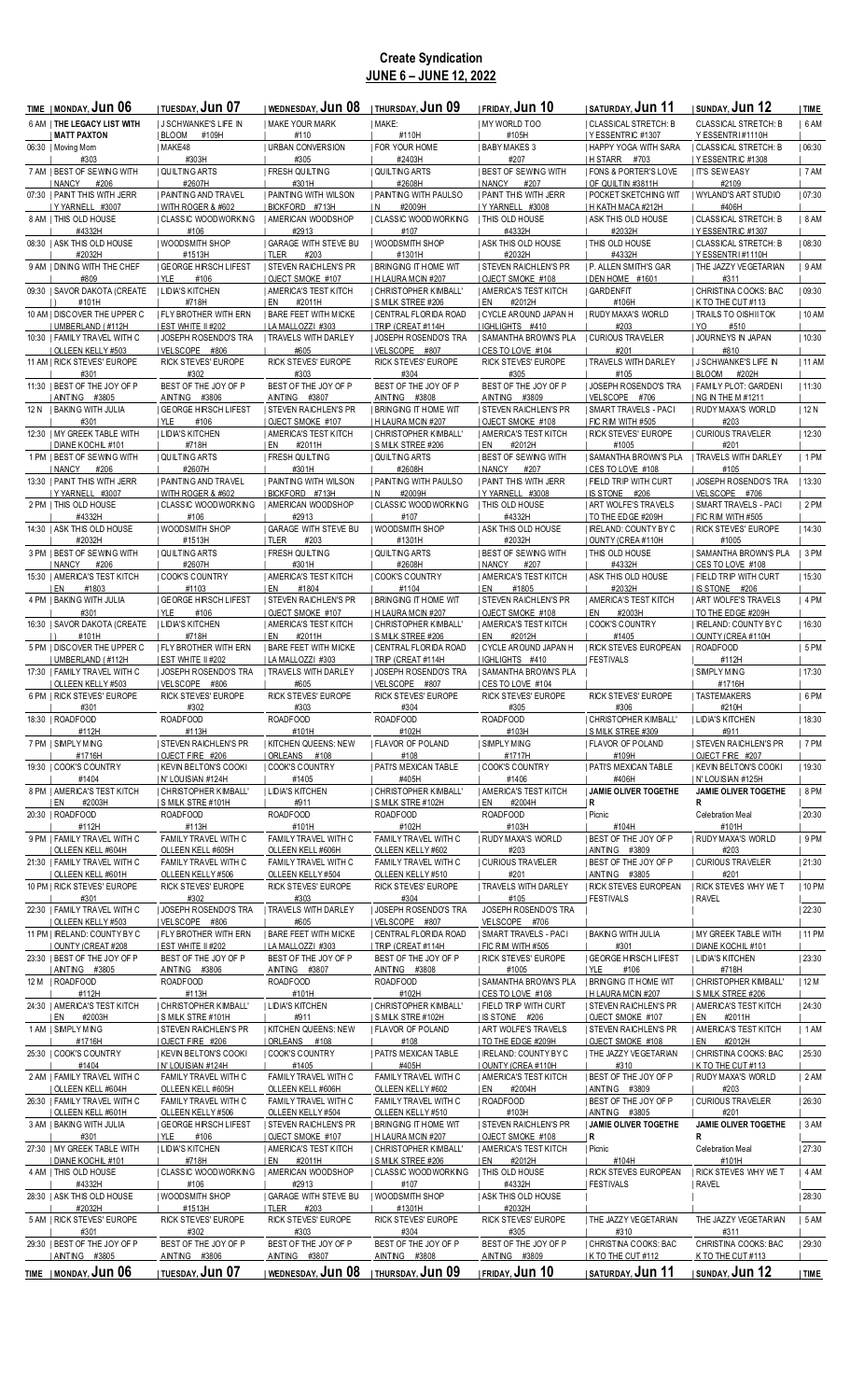## **Create Syndication JUNE 6 – JUNE 12, 2022**

| TIME   MONDAY, <b>JUN 06</b>                        | <b>TUESDAY, JUN 07</b>                                 | <u>i wednesday, Jun 08</u>                          | ITHURSDAY, Jun 09                                    | <b>FRIDAY, JUN 10</b>                               | saturday, <b>Jun 11</b>                                | <b>ISUNDAY, JUN 12</b>                              | TIME    |
|-----------------------------------------------------|--------------------------------------------------------|-----------------------------------------------------|------------------------------------------------------|-----------------------------------------------------|--------------------------------------------------------|-----------------------------------------------------|---------|
| 6 AM   THE LEGACY LIST WITH                         | <b>I J SCHWANKE'S LIFE IN</b>                          | <b>I MAKE YOUR MARK</b>                             | I MAKE:                                              | I MY WORLD TOO                                      | CLASSICAL STRETCH: B                                   | <b>CLASSICAL STRETCH: B</b>                         | 6 AM    |
| <b>MATT PAXTON</b>                                  | BLOOM #109H                                            | #110                                                | #110H                                                | #105H                                               | YESSENTRIC #1307                                       | Y ESSENTRI#1110H                                    |         |
| 06:30   Moving Mom                                  | MAKE48                                                 | <b>I URBAN CONVERSION</b>                           | <b>FOR YOUR HOME</b>                                 | <b>BABY MAKES 3</b>                                 | <b>I HAPPY YOGA WITH SARA</b>                          | CLASSICAL STRETCH: B                                | 06:30   |
| #303<br>7 AM   BEST OF SEWING WITH                  | #303H                                                  | #305<br><b>FRESH QUILTING</b>                       | #2403H<br><b>QUILTING ARTS</b>                       | #207<br><b>I BEST OF SEWING WITH</b>                | H STARR #703                                           | YESSENTRIC #1308                                    |         |
| NANCY<br>#206                                       | QUILTING ARTS<br>#2607H                                | #301H                                               | #2608H                                               | I NANCY<br>#207                                     | <b>FONS &amp; PORTER'S LOVE</b><br>OF QUILTIN #3811H   | <b>IT'S SEWEASY</b><br>#2109                        | 7 AM    |
| 07:30   PAINT THIS WITH JERR                        | PAINTING AND TRAVEL                                    | PAINTING WITH WILSON                                | <b>  PAINTING WITH PAULSO</b>                        | <b>PAINT THIS WITH JERR</b>                         | <b>I POCKET SKETCHING WIT</b>                          | WYLAND'S ART STUDIO                                 | 07:30   |
| Y YARNELL #3007                                     | WITH ROGER & #602                                      | BICKFORD #713H                                      | #2009H<br>IN.                                        | Y YARNELL #3008                                     | H KATH MACA #212H                                      | #406H                                               |         |
| 8 AM   THIS OLD HOUSE                               | CLASSIC WOODWORKING                                    | AMERICAN WOODSHOP                                   | <b>CLASSIC WOODWORKING</b>                           | <b>I THIS OLD HOUSE</b>                             | I ASK THIS OLD HOUSE                                   | CLASSICAL STRETCH: B                                | 8 AM    |
| #4332H                                              | #106                                                   | #2913                                               | #107                                                 | #4332H                                              | #2032H                                                 | I Y ESSENTRIC #1307                                 |         |
| 08:30   ASK THIS OLD HOUSE<br>#2032H                | I WOODSMITH SHOP<br>#1513H                             | <b>GARAGE WITH STEVE BU</b><br>  TLER               | I WOODSMITH SHOP<br>#1301H                           | <b>I ASK THIS OLD HOUSE</b><br>#2032H               | <b>  THIS OLD HOUSE</b><br>#4332H                      | CLASSICAL STRETCH: B                                | 08:30   |
| 9 AM I DINING WITH THE CHEF                         | <b>GEORGE HIRSCH LIFEST</b>                            | #203<br><b>I STEVEN RAICHLEN'S PR</b>               | <b>BRINGING IT HOME WIT</b>                          | <b>STEVEN RAICHLEN'S PR</b>                         | <b>IP. ALLEN SMITH'S GAR</b>                           | IYESSENTRI#1110H<br>  THE JAZZY VEGETARIAN          | 9AM     |
| #809                                                | YLE<br>#106                                            | OJECT SMOKE #107                                    | H LAURA MCIN #207                                    | OJECT SMOKE #108                                    | DEN HOME #1601                                         | #311                                                |         |
| 09:30   SAVOR DAKOTA (CREATE                        | <b>I LIDIA'S KITCHEN</b>                               | <b>AMERICA'S TEST KITCH</b>                         | CHRISTOPHER KIMBALL'                                 | AMERICA'S TEST KITCH                                | <b>GARDENFIT</b>                                       | CHRISTINA COOKS: BAC                                | 09:30   |
| #101H                                               | #718H                                                  | I EN<br>#2011H                                      | I S MILK STREE #206                                  | I EN<br>#2012H                                      | #106H                                                  | I K TO THE CUT #113                                 |         |
| 10 AM   DISCOVER THE UPPER C                        | <b>  FLY BROTHER WITH ERN</b>                          | <b>I BARE FEET WITH MICKE</b>                       | CENTRAL FLORIDA ROAD                                 | CYCLE AROUND JAPAN H                                | <b>I RUDY MAXA'S WORLD</b>                             | <b>TRAILS TO OISHII TOK</b>                         | 10 AM   |
| UMBERLAND (#112H                                    | EST WHITE II #202                                      | LA MALLOZZI #303                                    | TRIP (CREAT #114H                                    | IGHLIGHTS #410                                      | #203                                                   | IYO<br>#510                                         |         |
| 10:30   FAMILY TRAVEL WITH C<br>  OLLEEN KELLY #503 | JOSEPH ROSENDO'S TRA<br>  VELSCOPE #806                | <b>TRAVELS WITH DARLEY</b><br>#605                  | JOSEPH ROSENDO'S TRA<br>  VELSCOPE #807              | <b>  SAMANTHA BROWN'S PLA</b><br>  CES TO LOVE #104 | <b>CURIOUS TRAVELER</b><br>#201                        | JOURNEYS IN JAPAN<br>#810                           | 10:30   |
| 11 AM   RICK STEVES' EUROPE                         | RICK STEVES' EUROPE                                    | RICK STEVES' EUROPE                                 | RICK STEVES' EUROPE                                  | RICK STEVES' EUROPE                                 | <b>I TRAVELS WITH DARLEY</b>                           | <b>J SCHWANKE'S LIFE IN</b>                         | 11 AM   |
| #301                                                | #302                                                   | #303                                                | #304                                                 | #305                                                | #105                                                   | BLOOM<br>#202H                                      |         |
| 11:30   BEST OF THE JOY OF P                        | BEST OF THE JOY OF P                                   | BEST OF THE JOY OF P                                | BEST OF THE JOY OF P                                 | BEST OF THE JOY OF P                                | <b>JOSEPH ROSENDO'S TRA</b>                            | FAMILY PLOT: GARDENI                                | 11:30   |
| AINTING #3805                                       | AINTING #3806                                          | AINTING #3807                                       | AINTING #3808                                        | AINTING #3809                                       | VELSCOPE #706                                          | NG IN THE M #1211                                   |         |
| 12 N   BAKING WITH JULIA                            | <b>I GEORGE HIRSCH LIFEST</b>                          | <b>I STEVEN RAICHLEN'S PR</b>                       | <b>I BRINGING IT HOME WIT</b>                        | <b>I STEVEN RAICHLEN'S PR</b>                       | SMART TRAVELS - PACI                                   | RUDY MAXA'S WORLD                                   | 12 N    |
| #301<br>12:30   MY GREEK TABLE WITH                 | I YLE<br>#106<br><b>I LIDIA'S KITCHEN</b>              | <b>OJECT SMOKE #107</b><br>  AMERICA'S TEST KITCH   | H LAURA MCIN #207<br>  CHRISTOPHER KIMBALL'          | I OJECT SMOKE #108<br><b>  AMERICA'S TEST KITCH</b> | <b>FIC RIM WITH #505</b><br><b>RICK STEVES' EUROPE</b> | #203<br><b>I CURIOUS TRAVELER</b>                   | 12:30   |
| DIANE KOCHIL #101                                   | #718H                                                  | #2011H<br>I EN                                      | <b>SMILK STREE #206</b>                              | #2012H<br>i en                                      | #1005                                                  | #201                                                |         |
| 1 PM   BEST OF SEWING WITH                          | <b>QUILTING ARTS</b>                                   | <b>I FRESH QUILTING</b>                             | QUILTING ARTS                                        | <b>I BEST OF SEWING WITH</b>                        | <b>SAMANTHA BROWN'S PLA</b>                            | <b>I TRAVELS WITH DARLEY</b>                        | $ 1$ PM |
| NANCY<br>#206                                       | #2607H                                                 | #301H                                               | #2608H                                               | NANCY<br>#207                                       | CES TO LOVE #108                                       | #105                                                |         |
| 13:30   PAINT THIS WITH JERR                        | I PAINTING AND TRAVEL                                  | <b>I PAINTING WITH WILSON</b>                       | <b>I PAINTING WITH PAULSO</b>                        | <b>  PAINT THIS WITH JERR</b>                       | <b>FIELD TRIP WITH CURT</b>                            | <b>JOSEPH ROSENDO'S TRA</b>                         | 13:30   |
| Y YARNELL #3007                                     | WITH ROGER & #602                                      | BICKFORD #713H                                      | #2009H<br>IN.                                        | I Y YARNELL #3008                                   | IS STONE #206                                          | VELSCOPE #706                                       |         |
| 2 PM   THIS OLD HOUSE<br>#4332H                     | CLASSIC WOODWORKING<br>#106                            | AMERICAN WOODSHOP<br>#2913                          | CLASSIC WOODWORKING<br>#107                          | THIS OLD HOUSE<br>#4332H                            | <b>ART WOLFE'S TRAVELS</b><br>  TO THE EDGE #209H      | SMART TRAVELS - PACI<br>  FIC RIM WITH #505         | 2 PM    |
| 14:30   ASK THIS OLD HOUSE                          | WOODSMITH SHOP                                         | <b>GARAGE WITH STEVE BU</b>                         | <b>I WOODSMITH SHOP</b>                              | <b>ASK THIS OLD HOUSE</b>                           | I IRELAND: COUNTY BY C                                 | <b>I RICK STEVES' EUROPE</b>                        | 14:30   |
| #2032H                                              | #1513H                                                 | <b>ITLER</b><br>#203                                | #1301H                                               | #2032H                                              | OUNTY (CREA #110H                                      | #1005                                               |         |
| 3 PM   BEST OF SEWING WITH                          | QUILTING ARTS                                          | <b>FRESH QUILTING</b>                               | QUILTING ARTS                                        | <b>BEST OF SEWING WITH</b>                          | THIS OLD HOUSE                                         | <b>SAMANTHA BROWN'S PLA</b>                         | 3 PM    |
| NANCY<br>#206                                       | #2607H                                                 | #301H                                               | #2608H                                               | NANCY<br>#207                                       | #4332H                                                 | CES TO LOVE #108                                    |         |
| 15:30   AMERICA'S TEST KITCH                        | <b>COOK'S COUNTRY</b>                                  | <b>I AMERICA'S TEST KITCH</b>                       | <b>COOK'S COUNTRY</b>                                | <b>I AMERICA'S TEST KITCH</b>                       | <b>ASK THIS OLD HOUSE</b>                              | <b>I FIELD TRIP WITH CURT</b>                       | 15:30   |
| I EN<br>#1803<br>4 PM   BAKING WITH JULIA           | #1103                                                  | I EN<br>#1804                                       | #1104                                                | i en<br>#1805                                       | #2032H                                                 | IS STONE #206                                       | 4 PM    |
| #301                                                | <b>GEORGE HIRSCH LIFEST</b><br>I YLE<br>#106           | <b>I STEVEN RAICHLEN'S PR</b><br>  OJECT SMOKE #107 | <b>I BRINGING IT HOME WIT</b><br>  H LAURA MCIN #207 | <b>STEVEN RAICHLEN'S PR</b><br>  OJECT SMOKE #108   | AMERICA'S TEST KITCH<br>#2003H<br>I EN                 | <b>ART WOLFE'S TRAVELS</b><br>  TO THE EDGE #209H   |         |
| 16:30   SAVOR DAKOTA (CREATE                        | <b>I LIDIA'S KITCHEN</b>                               | <b>AMERICA'S TEST KITCH</b>                         | CHRISTOPHER KIMBALL'                                 | AMERICA'S TEST KITCH                                | COOK'S COUNTRY                                         | IRELAND: COUNTY BY C                                | 16:30   |
| #101H                                               | #718H                                                  | I EN<br>#2011H                                      | <b>SMILK STREE #206</b>                              | I EN<br>#2012H                                      | #1405                                                  | OUNTY (CREA #110H                                   |         |
| 5 PM   DISCOVER THE UPPER C                         | <b>I FLY BROTHER WITH ERN</b>                          | I BARE FEET WITH MICKE                              | CENTRAL FLORIDA ROAD                                 | I CYCLE AROUND JAPAN H                              | <b>RICK STEVES EUROPEAN</b>                            | ROADFOOD                                            | 5PM     |
| UMBERLAND ( #112H                                   | EST WHITE II #202                                      | LA MALLOZZI #303                                    | TRIP (CREAT #114H                                    | IGHLIGHTS #410                                      | FESTIVALS                                              | #112H                                               |         |
| 17:30   FAMILY TRAVEL WITH C                        | JOSEPH ROSENDO'S TRA                                   | <b>I TRAVELS WITH DARLEY</b>                        | <b>JOSEPH ROSENDO'S TRA</b>                          | I SAMANTHA BROWN'S PLA                              |                                                        | SIMPLY MING                                         | 17:30   |
| OLLEEN KELLY #503<br>6 PM   RICK STEVES' EUROPE     | VELSCOPE #806<br>RICK STEVES' EUROPE                   | #605<br>RICK STEVES' EUROPE                         | VELSCOPE #807<br>RICK STEVES' EUROPE                 | I CES TO LOVE #104<br><b>RICK STEVES' EUROPE</b>    | <b>RICK STEVES' EUROPE</b>                             | #1716H<br><b>I TASTEMAKERS</b>                      | $ 6$ PM |
| #301                                                | #302                                                   | #303                                                | #304                                                 | #305                                                | #306                                                   | #210H                                               |         |
| 18:30   ROADFOOD                                    | ROADFOOD                                               | ROADFOOD                                            | ROADFOOD                                             | ROADFOOD                                            | CHRISTOPHER KIMBALL'                                   | <b>I LIDIA'S KITCHEN</b>                            | 18:30   |
| #112H                                               | #113H                                                  | #101H                                               | #102H                                                | #103H                                               | <b>S MILK STREE #309</b>                               | #911                                                |         |
| 7 PM   SIMPLY MING                                  | <b>STEVEN RAICHLEN'S PR</b>                            | <b>KITCHEN QUEENS: NEW</b>                          | FLAVOR OF POLAND                                     | SIMPLY MING                                         | <b>I FLAVOR OF POLAND</b>                              | <b>I STEVEN RAICHLEN'S PR</b>                       | 7 PM    |
| #1716H                                              | OJECT FIRE #206                                        | ORLEANS #108                                        | #108                                                 | #1717H                                              | #109H                                                  | OJECT FIRE #207                                     |         |
| 19:30   COOK'S COUNTRY<br>#1404                     | KEVIN BELTON'S COOKI<br>IN'LOUISIAN #124H              | <b>COOK'S COUNTRY</b><br>#1405                      | <b>  PATI'S MEXICAN TABLE</b><br>#405H               | COOK'S COUNTRY<br>#1406                             | PATI'S MEXICAN TABLE<br>#406H                          | KEVIN BELTON'S COOKI<br>IN' LOUISIAN #125H          | 19:30   |
| 8 PM   AMERICA'S TEST KITCH                         | CHRISTOPHER KIMBALL'                                   | <b>LIDIA'S KITCHEN</b>                              | <b>CHRISTOPHER KIMBALL'</b>                          | <b>AMERICA'S TEST KITCH</b>                         | JAMIE OLIVER TOGETHE                                   | JAMIE OLIVER TOGETHE                                | $ 8$ PM |
| EN<br>#2003H                                        | <b>SMILK STRE #101H</b>                                | #911                                                | S MILK STRE #102H                                    | #2004H<br>  EN                                      | R                                                      | R                                                   |         |
| 20:30   ROADFOOD                                    | ROADFOOD                                               | ROADFOOD                                            | ROADFOOD                                             | ROADFOOD                                            | Picnic                                                 | Celebration Meal                                    | 20:30   |
| #112H                                               | #113H                                                  | #101H                                               | #102H                                                | #103H                                               | #104H                                                  | #101H                                               |         |
| 9 PM   FAMILY TRAVEL WITH C                         | FAMILY TRAVEL WITH C                                   | FAMILY TRAVEL WITH C                                | FAMILY TRAVEL WITH C                                 | RUDY MAXA'S WORLD                                   | BEST OF THE JOY OF P                                   | RUDY MAXA'S WORLD                                   | 9PM     |
| <b>OLLEEN KELL #604H</b>                            | OLLEEN KELL #605H                                      | OLLEEN KELL #606H                                   | OLLEEN KELLY #602                                    | #203<br>  CURIOUS TRAVELER                          | AINTING #3809                                          | #203<br><b>CURIOUS TRAVELER</b>                     | 21:30   |
| 21:30   FAMILY TRAVEL WITH C<br>  OLLEEN KELL #601H | FAMILY TRAVEL WITH C<br>OLLEEN KELLY#506               | FAMILY TRAVEL WITH C<br>OLLEEN KELLY #504           | FAMILY TRAVEL WITH C<br>OLLEEN KELLY #510            | #201                                                | BEST OF THE JOY OF P<br>  AINTING #3805                | #201                                                |         |
| 10 PM   RICK STEVES' EUROPE                         | RICK STEVES' EUROPE                                    | RICK STEVES' EUROPE                                 | RICK STEVES' EUROPE                                  | TRAVELS WITH DARLEY                                 | <b>RICK STEVES EUROPEAN</b>                            | <b>I RICK STEVES WHY WE T</b>                       | 10 PM   |
| #301                                                | #302                                                   | #303                                                | #304                                                 | #105                                                | FESTIVALS                                              | RAVEL                                               |         |
| 22:30   FAMILY TRAVEL WITH C                        | <b>JOSEPH ROSENDO'S TRA</b>                            | TRAVELS WITH DARLEY                                 | <b>JOSEPH ROSENDO'S TRA</b>                          | JOSEPH ROSENDO'S TRA                                |                                                        |                                                     | 22:30   |
| OLLEEN KELLY #503                                   | VELSCOPE #806                                          | #605                                                | VELSCOPE #807                                        | VELSCOPE #706                                       |                                                        |                                                     |         |
| 11 PM   IRELAND: COUNTY BY C<br>  OUNTY (CREAT #208 | <b>I FLY BROTHER WITH ERN</b><br>  EST WHITE II #202   | <b>I BARE FEET WITH MICKE</b><br>  LA MALLOZZI #303 | CENTRAL FLORIDA ROAD<br>  TRIP (CREAT #114H          | SMART TRAVELS - PACI<br>  FIC RIM WITH #505         | <b>BAKING WITH JULIA</b><br>#301                       | <b>I MY GREEK TABLE WITH</b><br>I DIANE KOCHIL #101 | 11 PM   |
| 23:30   BEST OF THE JOY OF P                        | BEST OF THE JOY OF P                                   | BEST OF THE JOY OF P                                | BEST OF THE JOY OF P                                 | <b>RICK STEVES' EUROPE</b>                          | <b>GEORGE HIRSCH LIFEST</b>                            | <b>I LIDIA'S KITCHEN</b>                            | 23:30   |
| AINTING #3805                                       | AINTING #3806                                          | AINTING #3807                                       | AINTING #3808                                        | #1005                                               | YLE<br>#106                                            | #718H                                               |         |
| 12 M   ROADFOOD                                     | ROADFOOD                                               | ROADFOOD                                            | ROADFOOD                                             | <b>  SAMANTHA BROWN'S PLA</b>                       | <b>BRINGING IT HOME WIT</b>                            | CHRISTOPHER KIMBALL'                                | 12 M    |
| #112H                                               | #113H                                                  | #101H                                               | #102H                                                | I CES TO LOVE #108                                  | H LAURA MCIN #207                                      | <b>S MILK STREE #206</b>                            |         |
| 24:30   AMERICA'S TEST KITCH                        | CHRISTOPHER KIMBALL'                                   | <b>LIDIA'S KITCHEN</b>                              | CHRISTOPHER KIMBALL'                                 | <b>I FIELD TRIP WITH CURT</b>                       | <b>I STEVEN RAICHLEN'S PR</b>                          | <b>I AMERICA'S TEST KITCH</b>                       | 24:30   |
| I EN<br>#2003H<br>1 AM   SIMPLY MING                | <b>SMILK STRE #101H</b><br><b>STEVEN RAICHLEN'S PR</b> | #911<br>  KITCHEN QUEENS: NEW                       | S MILK STRE #102H<br>  FLAVOR OF POLAND              | IS STONE #206<br>  ART WOLFE'S TRAVELS              | OJECT SMOKE #107<br>  STEVEN RAICHLEN'S PR             | I EN<br>#2011H<br><b>AMERICA'S TEST KITCH</b>       | 1AM     |
| #1716H                                              | OJECT FIRE #206                                        | ORLEANS #108                                        | #108                                                 | TO THE EDGE #209H                                   | OJECT SMOKE #108                                       | I EN<br>#2012H                                      |         |
| 25:30   COOK'S COUNTRY                              | KEVIN BELTON'S COOKI                                   | COOK'S COUNTRY                                      | <b>PATI'S MEXICAN TABLE</b>                          | IRELAND: COUNTY BY C                                | THE JAZZY VEGETARIAN                                   | CHRISTINA COOKS: BAC                                | 25:30   |
| #1404                                               | N' LOUISIAN #124H                                      | #1405                                               | #405H                                                | OUNTY (CREA #110H                                   | #310                                                   | K TO THE CUT #113                                   |         |
| 2 AM   FAMILY TRAVEL WITH C                         | FAMILY TRAVEL WITH C                                   | FAMILY TRAVEL WITH C                                | FAMILY TRAVEL WITH C                                 | <b>AMERICA'S TEST KITCH</b>                         | <b>BEST OF THE JOY OF P</b>                            | RUDY MAXA'S WORLD                                   | 2 AM    |
| <b>OLLEEN KELL #604H</b>                            | OLLEEN KELL #605H                                      | OLLEEN KELL #606H                                   | OLLEEN KELLY #602                                    | #2004H<br>I EN                                      | AINTING #3809                                          | #203                                                |         |
| 26:30   FAMILY TRAVEL WITH C<br>  OLLEEN KELL #601H | FAMILY TRAVEL WITH C<br>OLLEEN KELLY#506               | FAMILY TRAVEL WITH C<br>OLLEEN KELLY #504           | FAMILY TRAVEL WITH C<br>OLLEEN KELLY #510            | ROADFOOD<br>#103H                                   | <b>BEST OF THE JOY OF P</b><br>  AINTING #3805         | CURIOUS TRAVELER<br>#201                            | 26:30   |
| 3 AM   BAKING WITH JULIA                            | <b>GEORGE HIRSCH LIFEST</b>                            | <b>STEVEN RAICHLEN'S PR</b>                         | <b>I BRINGING IT HOME WIT</b>                        | <b>STEVEN RAICHLEN'S PR</b>                         | JAMIE OLIVER TOGETHE                                   | JAMIE OLIVER TOGETHE                                | 3AM     |
| #301                                                | #106<br>  YLE                                          | OJECT SMOKE #107                                    | H LAURA MCIN #207                                    | OJECT SMOKE #108                                    | R                                                      | R                                                   |         |
| 27:30   MY GREEK TABLE WITH                         | LIDIA'S KITCHEN                                        | <b>AMERICA'S TEST KITCH</b>                         | CHRISTOPHER KIMBALL'                                 | AMERICA'S TEST KITCH                                | Picnic                                                 | Celebration Meal                                    | 27:30   |
| I DIANE KOCHIL #101                                 | #718H                                                  | #2011H<br>I EN                                      | I S MILK STREE #206                                  | I EN<br>#2012H                                      | #104H                                                  | #101H                                               |         |
| 4 AM   THIS OLD HOUSE                               | CLASSIC WOODWORKING                                    | AMERICAN WOODSHOP                                   | <b>CLASSIC WOODWORKING</b>                           | THIS OLD HOUSE                                      | <b>I RICK STEVES EUROPEAN</b>                          | <b>I RICK STEVES WHY WE T</b>                       | 4 AM    |
| #4332H<br>28:30   ASK THIS OLD HOUSE                | #106<br>  WOODSMITH SHOP                               | #2913<br><b>GARAGE WITH STEVE BU</b>                | #107<br>  WOODSMITH SHOP                             | #4332H<br><b>ASK THIS OLD HOUSE</b>                 | FESTIVALS                                              | RAVEL                                               | 28:30   |
| #2032H                                              | #1513H                                                 | TLER<br>#203                                        | #1301H                                               | #2032H                                              |                                                        |                                                     |         |
| 5 AM   RICK STEVES' EUROPE                          | RICK STEVES' EUROPE                                    | RICK STEVES' EUROPE                                 | RICK STEVES' EUROPE                                  | RICK STEVES' EUROPE                                 | THE JAZZY VEGETARIAN                                   | THE JAZZY VEGETARIAN                                | 5AM     |
| #301                                                | #302                                                   | #303                                                | #304                                                 | #305                                                | #310                                                   | #311                                                |         |
| 29:30   BEST OF THE JOY OF P                        | BEST OF THE JOY OF P                                   | BEST OF THE JOY OF P                                | BEST OF THE JOY OF P                                 | BEST OF THE JOY OF P                                | <b>CHRISTINA COOKS: BAC</b>                            | CHRISTINA COOKS: BAC                                | 29:30   |
| AINTING #3805                                       | AINTING #3806                                          | AINTING #3807                                       | AINTING #3808                                        | AINTING #3809                                       | K TO THE CUT #112                                      | K TO THE CUT #113                                   |         |
| TIME   MONDAY, Jun 06                               | <b>ITUESDAY, JUN 07</b>                                | wednesday, <b>Jun 08</b>                            | I THURSDAY, JUN 09                                   | <b>IFRIDAY, Jun 10</b>                              | <b>I SATURDAY, JUN 11</b>                              | <b>ISUNDAY, JUN 12</b>                              | TIME    |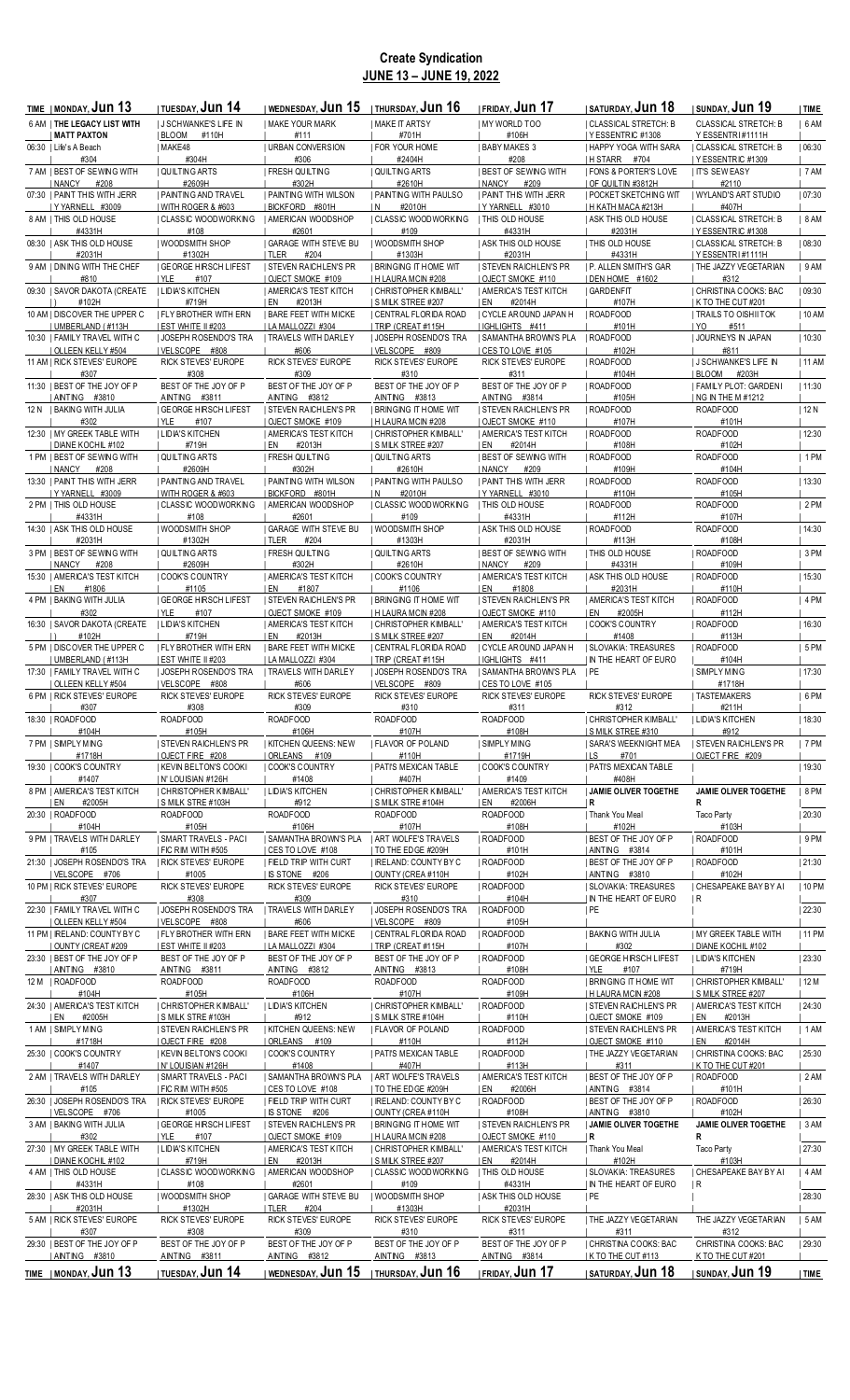# **Create Syndication JUNE 13 – JUNE 19, 2022**

| TIME   MONDAY, <b>JUN 13</b>                        | TUESDAY, <b>JUN 14</b>                                  | wednesday, $\mathsf{Jun}~\mathsf{15}~$   thursday, $\mathsf{Jun}~\mathsf{16}$ |                                                  | <b>IFRIDAY, Jun 17</b>                                     | i saturday, <b>Jun 18</b>                                | <b>ISUNDAY, JUN 19</b>                              | TIME    |
|-----------------------------------------------------|---------------------------------------------------------|-------------------------------------------------------------------------------|--------------------------------------------------|------------------------------------------------------------|----------------------------------------------------------|-----------------------------------------------------|---------|
| 6 AM   THE LEGACY LIST WITH                         | <b>I J SCHWANKE'S LIFE IN</b>                           | <b>I MAKE YOUR MARK</b>                                                       | MAKE IT ARTSY                                    | MY WORLD TOO                                               | CLASSICAL STRETCH: B                                     | <b>CLASSICAL STRETCH: B</b>                         | 6 AM    |
| <b>MATT PAXTON</b>                                  | BLOOM<br>#110H                                          | #111                                                                          | #701H                                            | #106H                                                      | YESSENTRIC #1308                                         | Y ESSENTRI#1111H                                    |         |
| 06:30   Life's A Beach                              | MAKE48                                                  | <b>I URBAN CONVERSION</b>                                                     | I FOR YOUR HOME                                  | <b>I BABY MAKES 3</b>                                      | <b>I HAPPY YOGA WITH SARA</b>                            | <b>I CLASSICAL STRETCH: B</b>                       | 06:30   |
| #304                                                | #304H<br><b>QUILTING ARTS</b>                           | #306<br><b>FRESH QUILTING</b>                                                 | #2404H<br>QUILTING ARTS                          | #208<br><b>BEST OF SEWING WITH</b>                         | H STARR #704                                             | Y ESSENTRIC #1309                                   | 7 AM    |
| 7 AM   BEST OF SEWING WITH<br>NANCY #208            | #2609H                                                  | #302H                                                                         | #2610H                                           | <b>I NANCY</b><br>#209                                     | <b>  FONS &amp; PORTER'S LOVE</b><br>  OF QUILTIN #3812H | <b>IT'S SEWEASY</b><br>#2110                        |         |
| 07:30   PAINT THIS WITH JERR                        | PAINTING AND TRAVEL                                     | <b>I PAINTING WITH WILSON</b>                                                 | <b>I PAINTING WITH PAULSO</b>                    | <b>PAINT THIS WITH JERR</b>                                | <b>  POCKET SKETCHING WIT</b>                            | WYLAND'S ART STUDIO                                 | 07:30   |
| IYYARNELL #3009                                     | WITH ROGER & #603                                       | BICKFORD #801H                                                                | #2010H<br>IN.                                    | IYYARNELL #3010                                            | H KATH MACA #213H                                        | #407H                                               |         |
| 8 AM   THIS OLD HOUSE                               | CLASSIC WOODWORKING                                     | <b>I AMERICAN WOODSHOP</b>                                                    | <b>CLASSIC WOODWORKING</b>                       | <b>I THIS OLD HOUSE</b>                                    | <b>I ASK THIS OLD HOUSE</b>                              | CLASSICAL STRETCH: B                                | 8 AM    |
| #4331H                                              | #108                                                    | #2601                                                                         | #109                                             | #4331H                                                     | #2031H                                                   | I Y ESSENTRIC #1308                                 |         |
| 08:30   ASK THIS OLD HOUSE                          | WOODSMITH SHOP                                          | I GARAGE WITH STEVE BU<br><b>ITLER</b>                                        | I WOODSMITH SHOP                                 | <b>ASK THIS OLD HOUSE</b>                                  | <b>I THIS OLD HOUSE</b>                                  | CLASSICAL STRETCH: B                                | 08:30   |
| #2031H<br>9 AM   DINING WITH THE CHEF               | #1302H<br>I GEORGE HIRSCH LIFEST                        | #204<br><b>I STEVEN RAICHLEN'S PR</b>                                         | #1303H<br><b>BRINGING IT HOME WIT</b>            | #2031H<br><b>STEVEN RAICHLEN'S PR</b>                      | #4331H<br><b>I P. ALLEN SMITH'S GAR</b>                  | YESSENTRI#1111H<br>  THE JAZZY VEGETARIAN           | 19AM    |
| #810                                                | I YLE<br>#107                                           | OJECT SMOKE #109                                                              | H LAURA MCIN #208                                | OJECT SMOKE #110                                           | DEN HOME #1602                                           | #312                                                |         |
| 09:30   SAVOR DAKOTA (CREATE                        | <b>I LIDIA'S KITCHEN</b>                                | <b>I AMERICA'S TEST KITCH</b>                                                 | CHRISTOPHER KIMBALL'                             | <b>I AMERICA'S TEST KITCH</b>                              | <b>GARDENFIT</b>                                         | CHRISTINA COOKS: BAC                                | 09:30   |
| #102H                                               | #719H                                                   | I EN<br>#2013H                                                                | I S MILK STREE #207                              | I EN<br>#2014H                                             | #107H                                                    | I K TO THE CUT #201                                 |         |
| 10 AM   DISCOVER THE UPPER C                        | <b>I FLY BROTHER WITH ERN</b>                           | <b>I BARE FEET WITH MICKE</b>                                                 | CENTRAL FLORIDA ROAD                             | CYCLE AROUND JAPAN H                                       | ROADFOOD                                                 | <b>TRAILS TO OISHII TOK</b>                         | 10 AM   |
| UMBERLAND (#113H                                    | EST WHITE II #203                                       | LA MALLOZZI #304                                                              | TRIP (CREAT #115H                                | IGHLIGHTS #411                                             | #101H                                                    | IYO<br>#511                                         |         |
| 10:30   FAMILY TRAVEL WITH C<br>  OLLEEN KELLY #504 | JOSEPH ROSENDO'S TRA<br>  VELSCOPE #808                 | <b>  TRAVELS WITH DARLEY</b><br>#606                                          | JOSEPH ROSENDO'S TRA<br>  VELSCOPE #809          | <b>  SAMANTHA BROWN'S PLA</b><br>CES TO LOVE #105          | ROADFOOD<br>#102H                                        | JOURNEYS IN JAPAN<br>#811                           | 10:30   |
| 11 AM   RICK STEVES' EUROPE                         | RICK STEVES' EUROPE                                     | RICK STEVES' EUROPE                                                           | RICK STEVES' EUROPE                              | RICK STEVES' EUROPE                                        | ROADFOOD                                                 | <b>J SCHWANKE'S LIFE IN</b>                         | 11 AM   |
| #307                                                | #308                                                    | #309                                                                          | #310                                             | #311                                                       | #104H                                                    | BLOOM<br>#203H                                      |         |
| 11:30   BEST OF THE JOY OF P                        | BEST OF THE JOY OF P                                    | BEST OF THE JOY OF P                                                          | BEST OF THE JOY OF P                             | BEST OF THE JOY OF P                                       | <b>ROADFOOD</b>                                          | FAMILY PLOT: GARDENI                                | 11:30   |
| AINTING #3810                                       | AINTING #3811                                           | AINTING #3812                                                                 | AINTING #3813                                    | AINTING #3814                                              | #105H                                                    | NG IN THE M #1212                                   |         |
| 12 N   BAKING WITH JULIA                            | <b>GEORGE HIRSCH LIFEST</b>                             | <b>I STEVEN RAICHLEN'S PR</b>                                                 | <b>BRINGING IT HOME WIT</b>                      | <b>STEVEN RAICHLEN'S PR</b>                                | ROADFOOD                                                 | ROADFOOD                                            | 12N     |
| #302<br>12:30   MY GREEK TABLE WITH                 | I YLE<br>#107<br><b>I LIDIA'S KITCHEN</b>               | <b>I OJECT SMOKE #109</b><br><b>AMERICA'S TEST KITCH</b>                      | H LAURA MCIN #208<br>I CHRISTOPHER KIMBALL'      | <b>I OJECT SMOKE #110</b><br><b>I AMERICA'S TEST KITCH</b> | #107H<br><b>ROADFOOD</b>                                 | #101H<br>ROADFOOD                                   | 12:30   |
| <b>DIANE KOCHIL #102</b>                            | #719H                                                   | I EN<br>#2013H                                                                | SMILK STREE #207                                 | #2014H<br>I EN                                             | #108H                                                    | #102H                                               |         |
| 1 PM   BEST OF SEWING WITH                          | <b>QUILTING ARTS</b>                                    | <b>I FRESH QUILTING</b>                                                       | QUILTING ARTS                                    | <b>BEST OF SEWING WITH</b>                                 | <b>ROADFOOD</b>                                          | ROADFOOD                                            | $ 1$ PM |
| NANCY<br>#208                                       | #2609H                                                  | #302H                                                                         | #2610H                                           | NANCY<br>#209                                              | #109H                                                    | #104H                                               |         |
| 13:30 I PAINT THIS WITH JERR                        | <b>I PAINTING AND TRAVEL</b>                            | <b>I PAINTING WITH WILSON</b>                                                 | I PAINTING WITH PAULSO                           | <b>I PAINT THIS WITH JERR</b>                              | ROADFOOD                                                 | ROADFOOD                                            | 13:30   |
| Y YARNELL #3009                                     | WITH ROGER & #603                                       | IBICKFORD #801H                                                               | #2010H<br>IN.                                    | IYYARNELL #3010                                            | #110H                                                    | #105H                                               |         |
| 2 PM   THIS OLD HOUSE<br>#4331H                     | CLASSIC WOODWORKING<br>#108                             | AMERICAN WOODSHOP<br>#2601                                                    | <b>CLASSIC WOODWORKING</b><br>#109               | THIS OLD HOUSE<br>#4331H                                   | <b>ROADFOOD</b><br>#112H                                 | ROADFOOD<br>#107H                                   | $ 2$ PM |
| 14:30   ASK THIS OLD HOUSE                          | WOODSMITH SHOP                                          | <b>I GARAGE WITH STEVE BU</b>                                                 | WOODSMITH SHOP                                   | <b>ASK THIS OLD HOUSE</b>                                  | ROADFOOD                                                 | ROADFOOD                                            | 14:30   |
| #2031H                                              | #1302H                                                  | TLER<br>#204                                                                  | #1303H                                           | #2031H                                                     | #113H                                                    | #108H                                               |         |
| 3 PM   BEST OF SEWING WITH                          | <b>QUILTING ARTS</b>                                    | <b>FRESH QUILTING</b>                                                         | QUILTING ARTS                                    | BEST OF SEWING WITH                                        | THIS OLD HOUSE                                           | ROADFOOD                                            | 3PM     |
| I NANCY<br>#208                                     | #2609H                                                  | #302H                                                                         | #2610H                                           | I NANCY<br>#209                                            | #4331H                                                   | #109H                                               |         |
| 15:30   AMERICA'S TEST KITCH                        | <b>COOK'S COUNTRY</b>                                   | <b>I AMERICA'S TEST KITCH</b>                                                 | <b>COOK'S COUNTRY</b>                            | <b>I AMERICA'S TEST KITCH</b>                              | <b>ASK THIS OLD HOUSE</b>                                | ROADFOOD                                            | 15:30   |
| I EN<br>#1806<br>4 PM   BAKING WITH JULIA           | #1105<br><b>GEORGE HIRSCH LIFEST</b>                    | I EN<br>#1807<br><b>I STEVEN RAICHLEN'S PR</b>                                | #1106<br><b>I BRINGING IT HOME WIT</b>           | i en<br>#1808<br><b>STEVEN RAICHLEN'S PR</b>               | #2031H<br><b>I AMERICA'S TEST KITCH</b>                  | #110H<br>  ROADFOOD                                 | $ 4$ PM |
| #302                                                | I YLE<br>#107                                           | OJECT SMOKE #109                                                              | H LAURA MCIN #208                                | <b>OJECT SMOKE #110</b>                                    | #2005H<br>I EN                                           | #112H                                               |         |
| 16:30   SAVOR DAKOTA (CREATE                        | <b>I LIDIA'S KITCHEN</b>                                | <b>AMERICA'S TEST KITCH</b>                                                   | CHRISTOPHER KIMBALL'                             | <b>AMERICA'S TEST KITCH</b>                                | COOK'S COUNTRY                                           | ROADFOOD                                            | 16:30   |
| #102H                                               | #719H                                                   | I EN<br>#2013H                                                                | SMILK STREE #207                                 | I EN<br>#2014H                                             | #1408                                                    | #113H                                               |         |
| 5 PM I DISCOVER THE UPPER C                         | <b>I FLY BROTHER WITH ERN</b>                           | <b>I BARE FEET WITH MICKE</b>                                                 | CENTRAL FLORIDA ROAD                             | I CYCLE AROUND JAPAN H                                     | <b>I SLOVAKIA: TREASURES</b>                             | ROADFOOD                                            | 5PM     |
| UMBERLAND ( #113H                                   | EST WHITE II #203                                       | LA MALLOZZI #304                                                              | TRIP (CREAT #115H                                | IGHLIGHTS #411                                             | I IN THE HEART OF EURO                                   | #104H                                               |         |
| 17:30   FAMILY TRAVEL WITH C                        | JOSEPH ROSENDO'S TRA                                    | <b>I TRAVELS WITH DARLEY</b>                                                  | JOSEPH ROSENDO'S TRA                             | SAMANTHA BROWN'S PLA   PE                                  |                                                          | I SIMPLY MING                                       | 17:30   |
| OLLEEN KELLY #504<br>6 PM   RICK STEVES' EUROPE     | VELSCOPE #808<br>RICK STEVES' EUROPE                    | #606<br><b>RICK STEVES' EUROPE</b>                                            | VELSCOPE #809<br>RICK STEVES' EUROPE             | CES TO LOVE #105<br>RICK STEVES' EUROPE                    | <b>RICK STEVES' EUROPE</b>                               | #1718H<br><b>I TASTEMAKERS</b>                      | $ 6$ PM |
| #307                                                | #308                                                    | #309                                                                          | #310                                             | #311                                                       | #312                                                     | #211H                                               |         |
| 18:30   ROADFOOD                                    | <b>ROADFOOD</b>                                         | ROADFOOD                                                                      | ROADFOOD                                         | ROADFOOD                                                   | CHRISTOPHER KIMBALL'                                     | <b>I LIDIA'S KITCHEN</b>                            | 18:30   |
| #104H                                               | #105H                                                   | #106H                                                                         | #107H                                            | #108H                                                      | <b>S MILK STREE #310</b>                                 | #912                                                |         |
| 7 PM   SIMPLY MING                                  | <b>STEVEN RAICHLEN'S PR</b>                             | <b>KITCHEN QUEENS: NEW</b>                                                    | <b>FLAVOR OF POLAND</b>                          | SIMPLY MING                                                | I SARA'S WEEKNIGHT MEA                                   | <b>I STEVEN RAICHLEN'S PR</b>                       | 7 PM    |
| #1718H                                              | OJECT FIRE #208                                         | ORLEANS #109                                                                  | #110H                                            | #1719H                                                     | I LS<br>#701                                             | OJECT FIRE #209                                     |         |
| 19:30   COOK'S COUNTRY<br>#1407                     | KEVIN BELTON'S COOKI<br>IN' LOUISIAN #126H              | COOK'S COUNTRY<br>#1408                                                       | <b>  PATI'S MEXICAN TABLE</b><br>#407H           | COOK'S COUNTRY<br>#1409                                    | <b>  PATI'S MEXICAN TABLE</b><br>#408H                   |                                                     | 19:30   |
| 8 PM   AMERICA'S TEST KITCH                         | CHRISTOPHER KIMBALL'                                    | <b>LIDIA'S KITCHEN</b>                                                        | CHRISTOPHER KIMBALL'                             | AMERICA'S TEST KITCH                                       | JAMIE OLIVER TOGETHE                                     | JAMIE OLIVER TOGETHE                                | 8 PM    |
| EN<br>#2005H                                        | <b>S MILK STRE #103H</b>                                | #912                                                                          | S MILK STRE #104H                                | i en<br>#2006H                                             | R                                                        | R                                                   |         |
| 20:30   ROADFOOD                                    | ROADFOOD                                                | ROADFOOD                                                                      | ROADFOOD                                         | ROADFOOD                                                   | Thank You Meal                                           | Taco Party                                          | 20:30   |
| #104H                                               | #105H                                                   | #106H                                                                         | #107H                                            | #108H                                                      | #102H                                                    | #103H                                               |         |
| 9 PM   TRAVELS WITH DARLEY                          | SMART TRAVELS - PACI                                    | <b>  SAMANTHA BROWN'S PLA</b>                                                 | ART WOLFE'S TRAVELS                              | ROADFOOD                                                   | BEST OF THE JOY OF P                                     | ROADFOOD                                            | 9PM     |
| #105<br>21:30   JOSEPH ROSENDO'S TRA                | FIC RIM WITH #505<br><b>RICK STEVES' EUROPE</b>         | I CES TO LOVE #108<br><b>  FIELD TRIP WITH CURT</b>                           | TO THE EDGE #209H<br><b>IRELAND: COUNTY BY C</b> | #101H<br>ROADFOOD                                          | AINTING #3814<br><b>BEST OF THE JOY OF P</b>             | #101H<br>  ROADFOOD                                 | 21:30   |
| VELSCOPE #706                                       | #1005                                                   | IS STONE #206                                                                 | OUNTY (CREA #110H                                | #102H                                                      | AINTING #3810                                            | #102H                                               |         |
| 10 PM   RICK STEVES' EUROPE                         | RICK STEVES' EUROPE                                     | RICK STEVES' EUROPE                                                           | RICK STEVES' EUROPE                              | ROADFOOD                                                   | <b>I SLOVAKIA: TREASURES</b>                             | CHESAPEAKE BAY BY AI                                | 10 PM   |
| #307                                                | #308                                                    | #309                                                                          | #310                                             | #104H                                                      | I IN THE HEART OF EURO                                   | R                                                   |         |
| 22:30   FAMILY TRAVEL WITH C                        | <b>JOSEPH ROSENDO'S TRA</b>                             | <b>  TRAVELS WITH DARLEY</b>                                                  | <b>JOSEPH ROSENDO'S TRA</b>                      | ROADFOOD                                                   | PE                                                       |                                                     | 22:30   |
| OLLEEN KELLY #504                                   | VELSCOPE #808                                           | #606                                                                          | VELSCOPE #809                                    | #105H                                                      |                                                          |                                                     |         |
| 11 PM   IRELAND: COUNTY BY C<br>OUNTY (CREAT #209   | <b>FLY BROTHER WITH ERN</b><br>  EST WHITE II #203      | <b>I BARE FEET WITH MICKE</b><br>  LA MALLOZZI #304                           | CENTRAL FLORIDA ROAD<br>TRIP (CREAT #115H        | ROADFOOD<br>#107H                                          | <b>BAKING WITH JULIA</b><br>#302                         | <b>I MY GREEK TABLE WITH</b><br>  DIANE KOCHIL #102 | 11 PM   |
| 23:30   BEST OF THE JOY OF P                        | BEST OF THE JOY OF P                                    | BEST OF THE JOY OF P                                                          | BEST OF THE JOY OF P                             | ROADFOOD                                                   | <b>GEORGE HIRSCH LIFEST</b>                              | <b>I LIDIA'S KITCHEN</b>                            | 23:30   |
| AINTING #3810                                       | AINTING #3811                                           | AINTING #3812                                                                 | AINTING #3813                                    | #108H                                                      | YLE<br>#107                                              | #719H                                               |         |
| 12 M   ROADFOOD                                     | ROADFOOD                                                | ROADFOOD                                                                      | ROADFOOD                                         | ROADFOOD                                                   | <b>I BRINGING IT HOME WIT</b>                            | CHRISTOPHER KIMBALL'                                | 12 M    |
| #104H                                               | #105H                                                   | #106H                                                                         | #107H                                            | #109H                                                      | H LAURA MCIN #208                                        | <b>S MILK STREE #207</b>                            |         |
| 24:30   AMERICA'S TEST KITCH                        | CHRISTOPHER KIMBALL'                                    | <b>LIDIA'S KITCHEN</b>                                                        | <b>CHRISTOPHER KIMBALL'</b>                      | ROADFOOD                                                   | <b>I STEVEN RAICHLEN'S PR</b>                            | <b>I AMERICA'S TEST KITCH</b>                       | 24:30   |
| EN<br>#2005H<br>1 AM   SIMPLY MING                  | <b>S MILK STRE #103H</b><br><b>STEVEN RAICHLEN'S PR</b> | #912<br><b>KITCHEN QUEENS: NEW</b>                                            | S MILK STRE #104H<br>  FLAVOR OF POLAND          | #110H<br><b>ROADFOOD</b>                                   | OJECT SMOKE #109<br><b>STEVEN RAICHLEN'S PR</b>          | I EN<br>#2013H<br><b>AMERICA'S TEST KITCH</b>       | 1AM     |
| #1718H                                              | OJECT FIRE #208                                         | ORLEANS #109                                                                  | #110H                                            | #112H                                                      | OJECT SMOKE #110                                         | I EN<br>#2014H                                      |         |
| 25:30   COOK'S COUNTRY                              | KEVIN BELTON'S COOKI                                    | COOK'S COUNTRY                                                                | <b>PATI'S MEXICAN TABLE</b>                      | ROADFOOD                                                   | THE JAZZY VEGETARIAN                                     | CHRISTINA COOKS: BAC                                | 25:30   |
| #1407                                               | N' LOUISIAN #126H                                       | #1408                                                                         | #407H                                            | #113H                                                      | #311                                                     | K TO THE CUT #201                                   |         |
| 2 AM   TRAVELS WITH DARLEY                          | SMART TRAVELS - PACI                                    | <b>SAMANTHA BROWN'S PLA</b>                                                   | <b>I ART WOLFE'S TRAVELS</b>                     | <b>AMERICA'S TEST KITCH</b>                                | <b>BEST OF THE JOY OF P</b>                              | ROADFOOD                                            | 2 AM    |
| #105                                                | FIC RIM WITH #505                                       | I CES TO LOVE #108                                                            | TO THE EDGE #209H                                | #2006H<br>i en                                             | AINTING #3814                                            | #101H                                               |         |
| 26:30   JOSEPH ROSENDO'S TRA<br>IVELSCOPE #706      | <b>I RICK STEVES' EUROPE</b><br>#1005                   | <b>FIELD TRIP WITH CURT</b><br>  IS STONE #206                                | IRELAND: COUNTY BY C<br>  OUNTY (CREA #110H      | ROADFOOD<br>#108H                                          | BEST OF THE JOY OF P<br>  AINTING #3810                  | ROADFOOD<br>#102H                                   | 26:30   |
| 3 AM   BAKING WITH JULIA                            | <b>GEORGE HIRSCH LIFEST</b>                             | <b>STEVEN RAICHLEN'S PR</b>                                                   | <b>I BRINGING IT HOME WIT</b>                    | <b>STEVEN RAICHLEN'S PR</b>                                | <b>JAMIE OLIVER TOGETHE</b>                              | JAMIE OLIVER TOGETHE                                | 3AM     |
| #302                                                | YLE<br>#107                                             | OJECT SMOKE #109                                                              | H LAURA MCIN #208                                | OJECT SMOKE #110                                           | $\overline{R}$                                           | R                                                   |         |
| 27:30   MY GREEK TABLE WITH                         | <b>I LIDIA'S KITCHEN</b>                                | <b>AMERICA'S TEST KITCH</b>                                                   | CHRISTOPHER KIMBALL'                             | AMERICA'S TEST KITCH                                       | Thank You Meal                                           | Taco Party                                          | 27:30   |
| <b>DIANE KOCHIL #102</b>                            | #719H                                                   | #2013H<br>I EN                                                                | S MILK STREE #207                                | I EN<br>#2014H                                             | #102H                                                    | #103H                                               |         |
| 4 AM   THIS OLD HOUSE                               | CLASSIC WOODWORKING                                     | AMERICAN WOODSHOP                                                             | CLASSIC WOODWORKING                              | <b>I THIS OLD HOUSE</b>                                    | <b>I SLOVAKIA: TREASURES</b>                             | CHESAPEAKE BAY BY AI                                | 4 AM    |
| #4331H<br>28:30   ASK THIS OLD HOUSE                | #108<br><b>WOODSMITH SHOP</b>                           | #2601<br><b>GARAGE WITH STEVE BU</b>                                          | #109<br>WOODSMITH SHOP                           | #4331H<br><b>ASK THIS OLD HOUSE</b>                        | IN THE HEART OF EURO<br>  PE                             | R                                                   | 28:30   |
| #2031H                                              | #1302H                                                  | TLER<br>#204                                                                  | #1303H                                           | #2031H                                                     |                                                          |                                                     |         |
| 5 AM   RICK STEVES' EUROPE                          | RICK STEVES' EUROPE                                     | RICK STEVES' EUROPE                                                           | RICK STEVES' EUROPE                              | RICK STEVES' EUROPE                                        | THE JAZZY VEGETARIAN                                     | THE JAZZY VEGETARIAN                                | 5 AM    |
| #307                                                | #308                                                    | #309                                                                          | #310                                             | #311                                                       | #311                                                     | #312                                                |         |
| 29:30   BEST OF THE JOY OF P                        | BEST OF THE JOY OF P                                    | BEST OF THE JOY OF P                                                          | BEST OF THE JOY OF P                             | BEST OF THE JOY OF P                                       | <b>CHRISTINA COOKS: BAC</b>                              | CHRISTINA COOKS: BAC                                | 29:30   |
| AINTING #3810                                       | AINTING #3811                                           | AINTING #3812                                                                 | AINTING #3813                                    | AINTING #3814                                              | K TO THE CUT #113                                        | K TO THE CUT #201                                   |         |
| TIME   MONDAY, Jun 13                               | <b>I TUESDAY, JUN 14</b>                                | I WEDNESDAY, Jun 15                                                           | I THURSDAY, Jun 16                               | <b>I FRIDAY, Jun 17</b>                                    | <b>I SATURDAY, JUN 18</b>                                | ISUNDAY, JUN 19                                     | TIME    |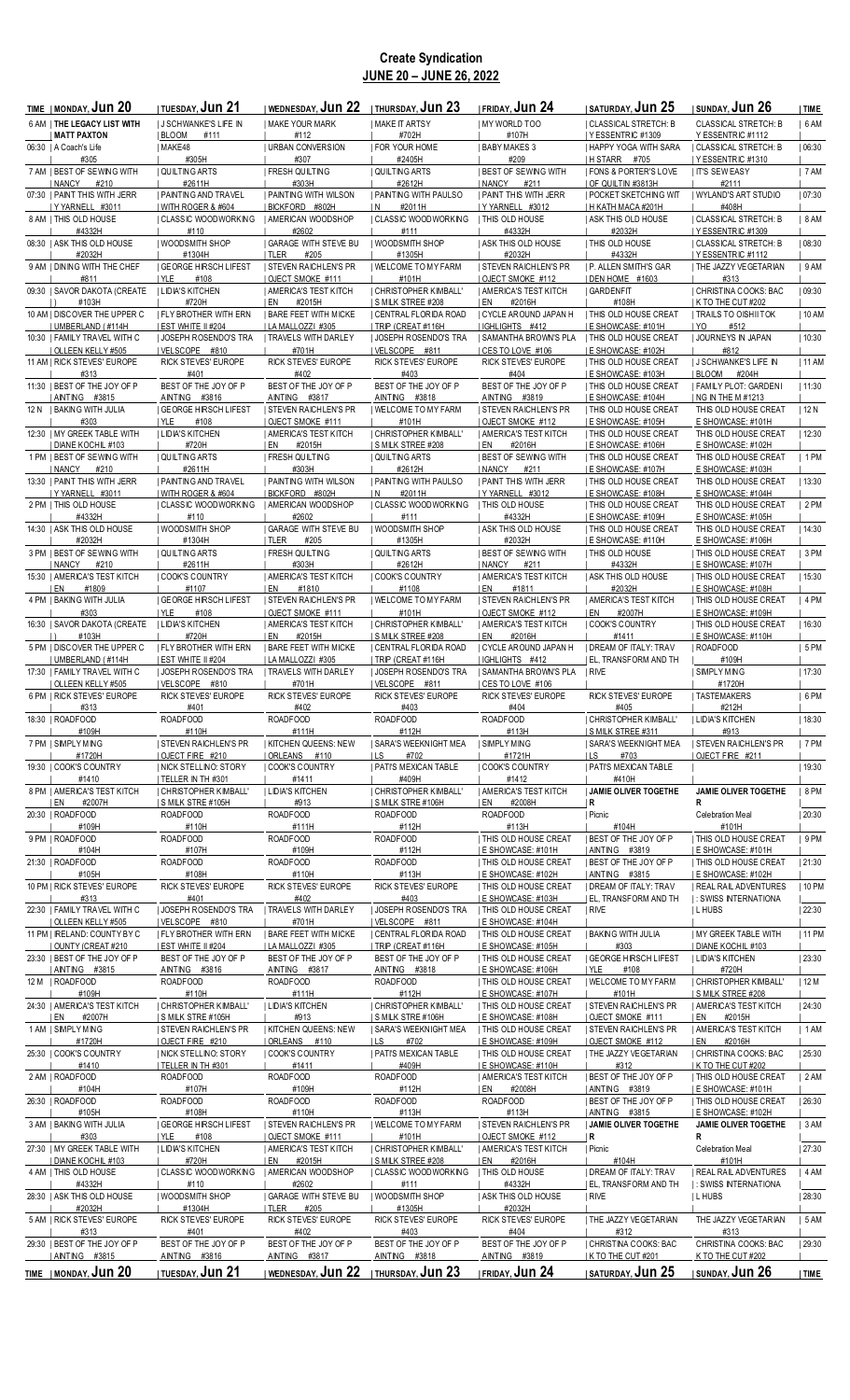# **Create Syndication JUNE 20 – JUNE 26, 2022**

| TIME   MONDAY, <b>JUN 20</b>                         | <b>I TUESDAY, Jun 21</b>                                    | I WEDNESDAY, <b>JUN 22</b>                       | <b>THURSDAY, JUN 23</b>                          | I FRIDAY, JUN 24                                        | <b>I SATURDAY, JUN 25</b>                               | <b>ISUNDAY, JUN 26</b>                                        | TIME    |
|------------------------------------------------------|-------------------------------------------------------------|--------------------------------------------------|--------------------------------------------------|---------------------------------------------------------|---------------------------------------------------------|---------------------------------------------------------------|---------|
| 6 AM   THE LEGACY LIST WITH                          | <b>J SCHWANKE'S LIFE IN</b>                                 | <b>I MAKE YOUR MARK</b>                          | MAKE IT ARTSY                                    | MY WORLD TOO                                            | CLASSICAL STRETCH: B                                    | <b>CLASSICAL STRETCH: B</b>                                   | 6AM     |
| <b>MATT PAXTON</b>                                   | BLOOM<br>#111                                               | #112                                             | #702H                                            | #107H                                                   | I YESSENTRIC #1309                                      | Y ESSENTRIC #1112                                             |         |
| 06:30   A Coach's Life                               | MAKE48                                                      | <b>I URBAN CONVERSION</b>                        | <b>FOR YOUR HOME</b>                             | <b>I BABY MAKES 3</b>                                   | I HAPPY YOGA WITH SARA                                  | CLASSICAL STRETCH: B                                          | 06:30   |
| #305<br>7 AM   BEST OF SEWING WITH                   | #305H<br>QUILTING ARTS                                      | #307<br><b>FRESH QUILTING</b>                    | #2405H<br>  QUILTING ARTS                        | #209<br><b>I BEST OF SEWING WITH</b>                    | H STARR #705<br><b>  FONS &amp; PORTER'S LOVE</b>       | <b>Y ESSENTRIC #1310</b><br><b>I IT'S SEW EASY</b>            | 7AM     |
| NANCY<br>#210                                        | #2611H                                                      | #303H                                            | #2612H                                           | NANCY<br>#211                                           | I OF QUILTIN #3813H                                     | #2111                                                         |         |
| 07:30   PAINT THIS WITH JERR                         | PAINTING AND TRAVEL                                         | <b>I PAINTING WITH WILSON</b>                    | <b>I PAINTING WITH PAULSO</b>                    | <b>I PAINT THIS WITH JERR</b>                           | <b>  POCKET SKETCHING WIT</b>                           | WYLAND'S ART STUDIO                                           | 07:30   |
| Y YARNELL #3011                                      | WITH ROGER & #604                                           | BICKFORD #802H                                   | IN.<br>#2011H                                    | I Y YARNELL #3012                                       | H KATH MACA #201H                                       | #408H                                                         |         |
| 8 AM   THIS OLD HOUSE<br>#4332H                      | CLASSIC WOODWORKING<br>#110                                 | <b>I AMERICAN WOODSHOP</b><br>#2602              | <b>CLASSIC WOODWORKING</b><br>#111               | <b>I THIS OLD HOUSE</b><br>#4332H                       | <b>I ASK THIS OLD HOUSE</b><br>#2032H                   | CLASSICAL STRETCH: B<br>I YESSENTRIC #1309                    | 8AM     |
| 08:30   ASK THIS OLD HOUSE                           | WOODSMITH SHOP                                              | <b>I GARAGE WITH STEVE BU</b>                    | I WOODSMITH SHOP                                 | <b>I ASK THIS OLD HOUSE</b>                             | <b>I THIS OLD HOUSE</b>                                 | CLASSICAL STRETCH: B                                          | 08:30   |
| #2032H                                               | #1304H                                                      | <b>ITLER</b><br>#205                             | #1305H                                           | #2032H                                                  | #4332H                                                  | <b>IY ESSENTRIC #1112</b>                                     |         |
| 9 AM I DINING WITH THE CHEF                          | <b>I GEORGE HIRSCH LIFEST</b>                               | <b>I STEVEN RAICHLEN'S PR</b>                    | I WELCOME TO MY FARM                             | <b>I STEVEN RAICHLEN'S PR</b>                           | <b>I P. ALLEN SMITH'S GAR</b>                           | <b>I THE JAZZY VEGETARIAN</b>                                 | 9AM     |
| #811<br>09:30   SAVOR DAKOTA (CREATE                 | YLE<br>#108<br><b>I LIDIA'S KITCHEN</b>                     | OJECT SMOKE #111<br><b>AMERICA'S TEST KITCH</b>  | #101H<br>  CHRISTOPHER KIMBALL'                  | OJECT SMOKE #112<br><b>I AMERICA'S TEST KITCH</b>       | DEN HOME #1603<br><b>I GARDENFIT</b>                    | #313<br>  CHRISTINA COOKS: BAC                                | 09:30   |
| #103H                                                | #720H                                                       | I EN<br>#2015H                                   | I S MILK STREE #208                              | I EN<br>#2016H                                          | #108H                                                   | K TO THE CUT #202                                             |         |
| 10 AM   DISCOVER THE UPPER C                         | FLY BROTHER WITH ERN                                        | <b>I BARE FEET WITH MICKE</b>                    | CENTRAL FLORIDA ROAD                             | CYCLE AROUND JAPAN H                                    | <b>  THIS OLD HOUSE CREAT</b>                           | <b>TRAILS TO OISHII TOK</b>                                   | 10 AM   |
| UMBERLAND (#114H                                     | EST WHITE II #204                                           | LA MALLOZZI #305                                 | TRIP (CREAT #116H                                | IGHLIGHTS #412                                          | <b>E SHOWCASE: #101H</b>                                | YO<br>#512                                                    |         |
| 10:30   FAMILY TRAVEL WITH C<br>  OLLEEN KELLY #505  | JOSEPH ROSENDO'S TRA<br>VELSCOPE #810                       | TRAVELS WITH DARLEY<br>#701H                     | JOSEPH ROSENDO'S TRA<br>VELSCOPE #811            | SAMANTHA BROWN'S PLA<br>I CES TO LOVE #106              | <b>I THIS OLD HOUSE CREAT</b><br>  E SHOWCASE: #102H    | JOURNEYS IN JAPAN<br>#812                                     | 10:30   |
| 11 AM   RICK STEVES' EUROPE                          | RICK STEVES' EUROPE                                         | RICK STEVES' EUROPE                              | RICK STEVES' EUROPE                              | RICK STEVES' EUROPE                                     | <b>  THIS OLD HOUSE CREAT</b>                           | <b>J SCHWANKE'S LIFE IN</b>                                   | 11 AM   |
| #313                                                 | #401                                                        | #402                                             | #403                                             | #404                                                    | I E SHOWCASE: #103H                                     | BLOOM<br>#204H                                                |         |
| 11:30   BEST OF THE JOY OF P                         | BEST OF THE JOY OF P<br>AINTING #3816                       | BEST OF THE JOY OF P                             | BEST OF THE JOY OF P                             | BEST OF THE JOY OF P                                    | <b>I THIS OLD HOUSE CREAT</b>                           | FAMILY PLOT: GARDENI<br>ING IN THE M #1213                    | 11:30   |
| AINTING #3815<br>12 N   BAKING WITH JULIA            | <b>I GEORGE HIRSCH LIFEST</b>                               | AINTING #3817<br><b>I STEVEN RAICHLEN'S PR</b>   | AINTING #3818<br>I WELCOME TO MY FARM            | AINTING #3819<br><b>I STEVEN RAICHLEN'S PR</b>          | E SHOWCASE: #104H<br><b>  THIS OLD HOUSE CREAT</b>      | THIS OLD HOUSE CREAT                                          | 12N     |
| #303                                                 | I YLE<br>#108                                               | OJECT SMOKE #111                                 | #101H                                            | I OJECT SMOKE #112                                      | I E SHOWCASE: #105H                                     | E SHOWCASE: #101H                                             |         |
| 12:30   MY GREEK TABLE WITH                          | LIDIA'S KITCHEN                                             | <b>I AMERICA'S TEST KITCH</b>                    | CHRISTOPHER KIMBALL'                             | <b>I AMERICA'S TEST KITCH</b>                           | <b>  THIS OLD HOUSE CREAT</b>                           | THIS OLD HOUSE CREAT                                          | 12:30   |
| I DIANE KOCHIL #103                                  | #720H                                                       | #2015H<br>I EN                                   | S MILK STREE #208                                | #2016H<br>I EN                                          | E SHOWCASE: #106H                                       | E SHOWCASE: #102H                                             |         |
| 1 PM   BEST OF SEWING WITH<br>  NANCY<br>#210        | QUILTING ARTS<br>#2611H                                     | <b>FRESH QUILTING</b><br>#303H                   | QUILTING ARTS<br>#2612H                          | <b>I BEST OF SEWING WITH</b><br>  NANCY<br>#211         | <b>I THIS OLD HOUSE CREAT</b><br>I E SHOWCASE: #107H    | THIS OLD HOUSE CREAT<br>E SHOWCASE: #103H                     | $ 1$ PM |
| 13:30   PAINT THIS WITH JERR                         | <b>I PAINTING AND TRAVEL</b>                                | <b>I PAINTING WITH WILSON</b>                    | <b>I PAINTING WITH PAULSO</b>                    | <b>I PAINT THIS WITH JERR</b>                           | I THIS OLD HOUSE CREAT                                  | THIS OLD HOUSE CREAT                                          | 13:30   |
| Y YARNELL #3011                                      | WITH ROGER & #604                                           | BICKFORD #802H                                   | #2011H<br>I N                                    | Y YARNELL #3012                                         | I E SHOWCASE: #108H                                     | E SHOWCASE: #104H                                             |         |
| 2 PM   THIS OLD HOUSE<br>#4332H                      | CLASSIC WOODWORKING<br>#110                                 | AMERICAN WOODSHOP<br>#2602                       | CLASSIC WOODWORKING<br>#111                      | <b>THIS OLD HOUSE</b><br>#4332H                         | <b>  THIS OLD HOUSE CREAT</b>                           | THIS OLD HOUSE CREAT                                          | 2 PM    |
| 14:30   ASK THIS OLD HOUSE                           | I WOODSMITH SHOP                                            | <b>I GARAGE WITH STEVE BU</b>                    | WOODSMITH SHOP                                   | <b>I ASK THIS OLD HOUSE</b>                             | E SHOWCASE: #109H<br><b>I THIS OLD HOUSE CREAT</b>      | E SHOWCASE: #105H<br>THIS OLD HOUSE CREAT                     | 14:30   |
| #2032H                                               | #1304H                                                      | TLER<br>#205                                     | #1305H                                           | #2032H                                                  | I E SHOWCASE: #110H                                     | E SHOWCASE: #106H                                             |         |
| 3 PM   BEST OF SEWING WITH                           | QUILTING ARTS                                               | <b>FRESH QUILTING</b>                            | QUILTING ARTS                                    | <b>I BEST OF SEWING WITH</b>                            | <b>THIS OLD HOUSE</b>                                   | <b>I THIS OLD HOUSE CREAT</b>                                 | 3 PM    |
| <b>NANCY</b><br>#210<br>15:30   AMERICA'S TEST KITCH | #2611H<br><b>COOK'S COUNTRY</b>                             | #303H<br><b>I AMERICA'S TEST KITCH</b>           | #2612H<br><b>COOK'S COUNTRY</b>                  | <b>I NANCY</b><br>#211<br><b>I AMERICA'S TEST KITCH</b> | #4332H<br><b>I ASK THIS OLD HOUSE</b>                   | E SHOWCASE: #107H<br><b>I THIS OLD HOUSE CREAT</b>            | 15:30   |
| EN<br>#1809                                          | #1107                                                       | #1810<br>I EN                                    | #1108                                            | #1811<br>I EN                                           | #2032H                                                  | E SHOWCASE: #108H                                             |         |
| 4 PM   BAKING WITH JULIA                             | <b>GEORGE HIRSCH LIFEST</b>                                 | <b>I STEVEN RAICHLEN'S PR</b>                    | I WELCOME TO MY FARM                             | <b>STEVEN RAICHLEN'S PR</b>                             | AMERICA'S TEST KITCH                                    | <b>  THIS OLD HOUSE CREAT</b>                                 | $ 4$ PM |
| #303<br>16:30   SAVOR DAKOTA (CREATE                 | I YLE<br>#108<br><b>I LIDIA'S KITCHEN</b>                   | OJECT SMOKE #111<br><b>AMERICA'S TEST KITCH</b>  | #101H<br>  CHRISTOPHER KIMBALL'                  | OJECT SMOKE #112<br>  AMERICA'S TEST KITCH              | #2007H<br>I EN<br>  COOK'S COUNTRY                      | I E SHOWCASE: #109H<br><b>  THIS OLD HOUSE CREAT</b>          | 16:30   |
| #103H                                                | #720H                                                       | I EN<br>#2015H                                   | S MILK STREE #208                                | I EN<br>#2016H                                          | #1411                                                   | <b>I E SHOWCASE: #110H</b>                                    |         |
| 5 PM   DISCOVER THE UPPER C                          | <b>I FLY BROTHER WITH ERN</b><br><b>I EST WHITE II #204</b> | <b>I BARE FEET WITH MICKE</b>                    | CENTRAL FLORIDA ROAD                             | I CYCLE AROUND JAPAN H<br>IGHLIGHTS #412                | I DREAM OF ITALY: TRAV                                  | I ROADFOOD                                                    | 5PM     |
| UMBERLAND (#114H<br>17:30   FAMILY TRAVEL WITH C     | JOSEPH ROSENDO'S TRA                                        | LA MALLOZZI #305<br><b>  TRAVELS WITH DARLEY</b> | TRIP (CREAT #116H<br>  JOSEPH ROSENDO'S TRA      | SAMANTHA BROWN'S PLA                                    | EL, TRANSFORM AND TH<br>  RIVE                          | #109H<br><b>SIMPLY MING</b>                                   | 17:30   |
| OLLEEN KELLY #505                                    | VELSCOPE #810                                               | #701H                                            | VELSCOPE #811                                    | CES TO LOVE #106                                        |                                                         | #1720H                                                        |         |
| 6 PM I RICK STEVES' EUROPE                           | RICK STEVES' EUROPE                                         | RICK STEVES' EUROPE                              | RICK STEVES' EUROPE                              | RICK STEVES' EUROPE                                     | RICK STEVES' EUROPE                                     | <b>I TASTEMAKERS</b><br>#212H                                 | $ 6$ PM |
| #313<br>18:30   ROADFOOD                             | #401<br>ROADFOOD                                            | #402<br>ROADFOOD                                 | #403<br>ROADFOOD                                 | #404<br>ROADFOOD                                        | #405<br>  CHRISTOPHER KIMBALL'                          | LIDIA'S KITCHEN                                               | 18:30   |
| #109H                                                | #110H                                                       | #111H                                            | #112H                                            | #113H                                                   | <b>S MILK STREE #311</b>                                | #913                                                          |         |
| 7 PM   SIMPLY MING<br>#1720H                         | <b>STEVEN RAICHLEN'S PR</b><br>OJECT FIRE #210              | <b>KITCHEN QUEENS: NEW</b><br>  ORLEANS #110     | <b>SARA'S WEEKNIGHT MEA</b><br>#702<br>I LS      | <b>I SIMPLY MING</b><br>#1721H                          | I SARA'S WEEKNIGHT MEA<br>ILS<br>#703                   | <b>STEVEN RAICHLEN'S PR</b><br>  OJECT FIRE #211              | 7PM     |
| 19:30   COOK'S COUNTRY                               | NICK STELLINO: STORY                                        | COOK'S COUNTRY                                   | <b>  PATI'S MEXICAN TABLE</b>                    | COOK'S COUNTRY                                          | <b>  PATI'S MEXICAN TABLE</b>                           |                                                               | 19:30   |
| #1410                                                | TELLER IN TH #301                                           | #1411                                            | #409H                                            | #1412                                                   | #410H                                                   |                                                               |         |
| 8 PM   AMERICA'S TEST KITCH<br>EN<br>#2007H          | CHRISTOPHER KIMBALL'<br>S MILK STRE #105H                   | <b>LIDIA'S KITCHEN</b><br>#913                   | <b>CHRISTOPHER KIMBALL'</b><br>S MILK STRE #106H | <b>I AMERICA'S TEST KITCH</b><br>#2008H<br>I EN         | JAMIE OLIVER TOGETHE<br> R                              | JAMIE OLIVER TOGETHE<br>R                                     | 8 PM    |
| 20:30   ROADFOOD                                     | ROADFOOD                                                    | ROADFOOD                                         | ROADFOOD                                         | ROADFOOD                                                | Picnic                                                  | Celebration Meal                                              | 20:30   |
| #109H                                                | #110H                                                       | #111H                                            | #112H                                            | #113H                                                   | #104H                                                   | #101H                                                         |         |
| 9 PM   ROADFOOD<br>#104H                             | ROADFOOD<br>#107H                                           | ROADFOOD<br>#109H                                | ROADFOOD<br>#112H                                | <b>  THIS OLD HOUSE CREAT</b><br>I E SHOWCASE: #101H    | BEST OF THE JOY OF P<br>  AINTING #3819                 | <b>  THIS OLD HOUSE CREAT</b><br><b>I E SHOWCASE: #101H</b>   | $ 9$ PM |
| 21:30   ROADFOOD                                     | ROADFOOD                                                    | ROADFOOD                                         | ROADFOOD                                         | THIS OLD HOUSE CREAT                                    | BEST OF THE JOY OF P                                    | <b>  THIS OLD HOUSE CREAT</b>                                 | 21:30   |
| #105H                                                | #108H                                                       | #110H                                            | #113H                                            | E SHOWCASE: #102H                                       | AINTING #3815                                           | E SHOWCASE: #102H                                             |         |
| 10 PM   RICK STEVES' EUROPE<br>#313                  | RICK STEVES' EUROPE<br>#401                                 | RICK STEVES' EUROPE<br>#402                      | RICK STEVES' EUROPE<br>#403                      | <b>I THIS OLD HOUSE CREAT</b><br>E SHOWCASE: #103H      | <b>I DREAM OF ITALY: TRAV</b><br>  EL, TRANSFORM AND TH | <b>I REAL RAIL ADVENTURES</b><br><b>1: SWISS INTERNATIONA</b> | 10 PM   |
| 22:30   FAMILY TRAVEL WITH C                         | <b>JOSEPH ROSENDO'S TRA</b>                                 | <b>I TRAVELS WITH DARLEY</b>                     | <b>JOSEPH ROSENDO'S TRA</b>                      | THIS OLD HOUSE CREAT                                    | RIVE                                                    | <b>ILHUBS</b>                                                 | 22:30   |
| OLLEEN KELLY #505                                    | VELSCOPE #810                                               | #701H                                            | VELSCOPE #811                                    | E SHOWCASE: #104H                                       |                                                         |                                                               |         |
| 11 PM   IRELAND: COUNTY BY C                         | <b>FLY BROTHER WITH ERN</b>                                 | <b>I BARE FEET WITH MICKE</b>                    | CENTRAL FLORIDA ROAD                             | <b>  THIS OLD HOUSE CREAT</b>                           | BAKING WITH JULIA                                       | <b>I MY GREEK TABLE WITH</b>                                  | 11 PM   |
| OUNTY (CREAT #210<br>23:30   BEST OF THE JOY OF P    | EST WHITE II #204<br>BEST OF THE JOY OF P                   | LA MALLOZZI #305<br>BEST OF THE JOY OF P         | TRIP (CREAT #116H<br>BEST OF THE JOY OF P        | E SHOWCASE: #105H<br><b>  THIS OLD HOUSE CREAT</b>      | #303<br><b>GEORGE HIRSCH LIFEST</b>                     | DIANE KOCHIL #103<br><b>I LIDIA'S KITCHEN</b>                 | 23:30   |
| AINTING #3815                                        | AINTING #3816                                               | AINTING #3817                                    | AINTING #3818                                    | E SHOWCASE: #106H                                       | #108<br>  YLE                                           | #720H                                                         |         |
| 12 M   ROADFOOD                                      | ROADFOOD                                                    | ROADFOOD                                         | ROADFOOD                                         | THIS OLD HOUSE CREAT                                    | WELCOME TO MY FARM                                      | CHRISTOPHER KIMBALL'                                          | 12 M    |
| #109H<br>24:30   AMERICA'S TEST KITCH                | #110H<br>  CHRISTOPHER KIMBALL'                             | #111H<br><b>I LIDIA'S KITCHEN</b>                | #112H<br>  CHRISTOPHER KIMBALL'                  | E SHOWCASE: #107H<br><b>I THIS OLD HOUSE CREAT</b>      | #101H<br><b>I STEVEN RAICHLEN'S PR</b>                  | <b>S MILK STREE #208</b><br>  AMERICA'S TEST KITCH            | 24:30   |
| I EN<br>#2007H                                       | <b>SMILK STRE #105H</b>                                     | #913                                             | S MILK STRE #106H                                | E SHOWCASE: #108H                                       | OJECT SMOKE #111                                        | I EN<br>#2015H                                                |         |
| 1 AM   SIMPLY MING                                   | <b>STEVEN RAICHLEN'S PR</b>                                 | <b>KITCHEN QUEENS: NEW</b>                       | SARA'S WEEKNIGHT MEA                             | <b>I THIS OLD HOUSE CREAT</b>                           | <b>STEVEN RAICHLEN'S PR</b>                             | <b>AMERICA'S TEST KITCH</b>                                   | 1AM     |
| #1720H<br>25:30   COOK'S COUNTRY                     | OJECT FIRE #210<br>  NICK STELLINO: STORY                   | ORLEANS #110<br>  COOK'S COUNTRY                 | I LS<br>#702<br>  PATI'S MEXICAN TABLE           | E SHOWCASE: #109H<br><b>  THIS OLD HOUSE CREAT</b>      | OJECT SMOKE #112<br>  THE JAZZY VEGETARIAN              | I EN<br>#2016H<br>  CHRISTINA COOKS: BAC                      | 25:30   |
| #1410                                                | TELLER IN TH #301                                           | #1411                                            | #409H                                            | E SHOWCASE: #110H                                       | #312                                                    | K TO THE CUT #202                                             |         |
| 2 AM   ROADFOOD                                      | ROADFOOD                                                    | ROADFOOD                                         | ROADFOOD                                         | <b>I AMERICA'S TEST KITCH</b>                           | <b>BEST OF THE JOY OF P</b>                             | <b>I THIS OLD HOUSE CREAT</b>                                 | 2AM     |
| #104H<br>26:30   ROADFOOD                            | #107H<br>ROADFOOD                                           | #109H<br>ROADFOOD                                | #112H<br>ROADFOOD                                | I EN<br>#2008H<br>ROADFOOD                              | AINTING #3819<br><b>BEST OF THE JOY OF P</b>            | <b>I E SHOWCASE: #101H</b><br><b>I THIS OLD HOUSE CREAT</b>   | 26:30   |
| #105H                                                | #108H                                                       | #110H                                            | #113H                                            | #113H                                                   | AINTING #3815                                           | E SHOWCASE: #102H                                             |         |
| 3 AM   BAKING WITH JULIA                             | <b>GEORGE HIRSCH LIFEST</b>                                 | <b>STEVEN RAICHLEN'S PR</b>                      | WELCOME TO MY FARM                               | <b>STEVEN RAICHLEN'S PR</b>                             | JAMIE OLIVER TOGETHE                                    | JAMIE OLIVER TOGETHE                                          | 3AM     |
| #303<br>27:30   MY GREEK TABLE WITH                  | #108<br>  YLE<br>  LIDIA'S KITCHEN                          | OJECT SMOKE #111<br><b>AMERICA'S TEST KITCH</b>  | #101H<br>  CHRISTOPHER KIMBALL'                  | OJECT SMOKE #112<br>  AMERICA'S TEST KITCH              | R<br>  Picnic                                           | R<br>Celebration Meal                                         | 27:30   |
| DIANE KOCHIL #103                                    | #720H                                                       | #2015H<br>I EN                                   | S MILK STREE #208                                | EN<br>#2016H                                            | #104H                                                   | #101H                                                         |         |
| 4 AM   THIS OLD HOUSE                                | CLASSIC WOODWORKING                                         | AMERICAN WOODSHOP                                | CLASSIC WOODWORKING                              | <b>I THIS OLD HOUSE</b>                                 | <b>I DREAM OF ITALY: TRAV</b>                           | I REAL RAIL ADVENTURES                                        | 4AM     |
| #4332H<br>28:30   ASK THIS OLD HOUSE                 | #110<br>  WOODSMITH SHOP                                    | #2602<br><b>GARAGE WITH STEVE BU</b>             | #111<br>  WOODSMITH SHOP                         | #4332H<br><b>I ASK THIS OLD HOUSE</b>                   | EL, TRANSFORM AND TH<br>  RIVE                          | <b>I: SWISS INTERNATIONA</b><br><b>ILHUBS</b>                 | 28:30   |
| #2032H                                               | #1304H                                                      | TLER<br>#205                                     | #1305H                                           | #2032H                                                  |                                                         |                                                               |         |
| 5 AM   RICK STEVES' EUROPE                           | RICK STEVES' EUROPE                                         | RICK STEVES' EUROPE                              | RICK STEVES' EUROPE                              | RICK STEVES' EUROPE                                     | THE JAZZY VEGETARIAN                                    | THE JAZZY VEGETARIAN                                          | 5 AM    |
| #313<br>29:30   BEST OF THE JOY OF P                 | #401<br>BEST OF THE JOY OF P                                | #402<br>BEST OF THE JOY OF P                     | #403<br>BEST OF THE JOY OF P                     | #404<br>BEST OF THE JOY OF P                            | #312<br>I CHRISTINA COOKS: BAC                          | #313<br>CHRISTINA COOKS: BAC                                  | 29:30   |
| AINTING #3815                                        | AINTING #3816                                               | AINTING #3817                                    | AINTING #3818                                    | AINTING #3819                                           | K TO THE CUT #201                                       | K TO THE CUT #202                                             |         |
| TIME   MONDAY, JUN 20                                | <b>TUESDAY, JUN 21</b>                                      | I WEDNESDAY, Jun 22                              | I THURSDAY, Jun 23                               | <b>I FRIDAY, Jun 24</b>                                 | <b>ISATURDAY, JUN 25</b>                                | I SUNDAY, <b>Jun 26</b>                                       | TIME    |